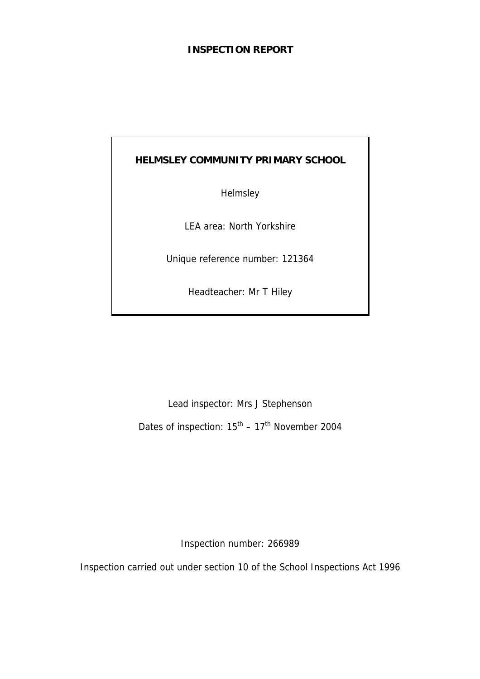## **INSPECTION REPORT**

## **HELMSLEY COMMUNITY PRIMARY SCHOOL**

**Helmsley** 

LEA area: North Yorkshire

Unique reference number: 121364

Headteacher: Mr T Hiley

Lead inspector: Mrs J Stephenson

Dates of inspection:  $15^{th}$  –  $17^{th}$  November 2004

Inspection number: 266989

Inspection carried out under section 10 of the School Inspections Act 1996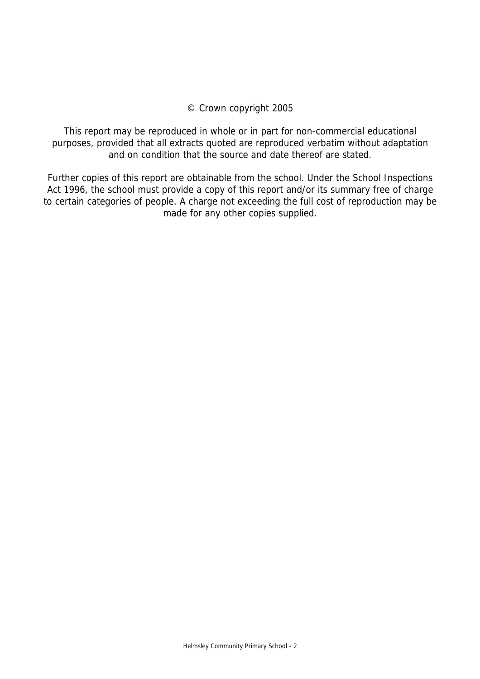## © Crown copyright 2005

This report may be reproduced in whole or in part for non-commercial educational purposes, provided that all extracts quoted are reproduced verbatim without adaptation and on condition that the source and date thereof are stated.

Further copies of this report are obtainable from the school. Under the School Inspections Act 1996, the school must provide a copy of this report and/or its summary free of charge to certain categories of people. A charge not exceeding the full cost of reproduction may be made for any other copies supplied.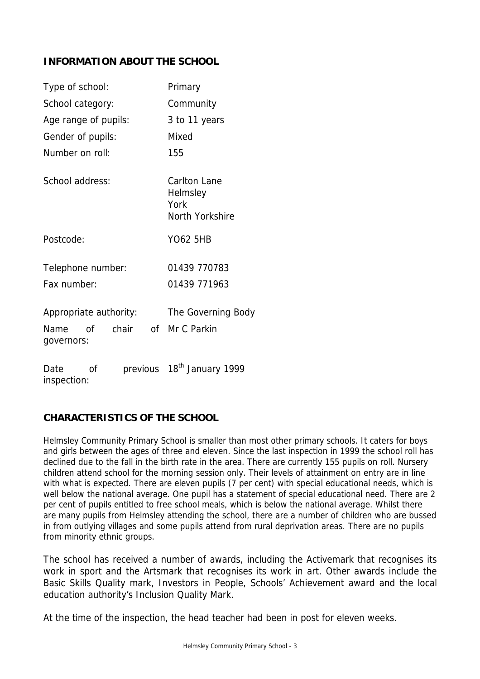## **INFORMATION ABOUT THE SCHOOL**

| Type of school:                                      | Primary                                                    |
|------------------------------------------------------|------------------------------------------------------------|
| School category:                                     | Community                                                  |
| Age range of pupils:                                 | 3 to 11 years                                              |
| Gender of pupils:                                    | Mixed                                                      |
| Number on roll:                                      | 155                                                        |
| School address:                                      | <b>Carlton Lane</b><br>Helmsley<br>York<br>North Yorkshire |
| Postcode:                                            | <b>YO62 5HB</b>                                            |
| Telephone number:                                    | 01439 770783                                               |
| Fax number:                                          | 01439 771963                                               |
| Appropriate authority:                               | The Governing Body                                         |
| chair<br><sub>Of</sub><br>of l<br>Name<br>governors: | Mr C Parkin                                                |
| Date<br>οf<br>inspection:                            | previous 18 <sup>th</sup> January 1999                     |

## **CHARACTERISTICS OF THE SCHOOL**

Helmsley Community Primary School is smaller than most other primary schools. It caters for boys and girls between the ages of three and eleven. Since the last inspection in 1999 the school roll has declined due to the fall in the birth rate in the area. There are currently 155 pupils on roll. Nursery children attend school for the morning session only. Their levels of attainment on entry are in line with what is expected. There are eleven pupils (7 per cent) with special educational needs, which is well below the national average. One pupil has a statement of special educational need. There are 2 per cent of pupils entitled to free school meals, which is below the national average. Whilst there are many pupils from Helmsley attending the school, there are a number of children who are bussed in from outlying villages and some pupils attend from rural deprivation areas. There are no pupils from minority ethnic groups.

The school has received a number of awards, including the Activemark that recognises its work in sport and the Artsmark that recognises its work in art. Other awards include the Basic Skills Quality mark, Investors in People, Schools' Achievement award and the local education authority's Inclusion Quality Mark.

At the time of the inspection, the head teacher had been in post for eleven weeks.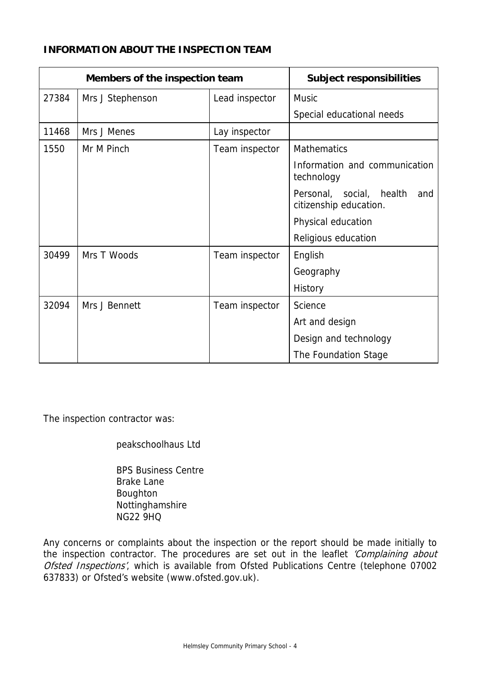## **INFORMATION ABOUT THE INSPECTION TEAM**

| Members of the inspection team |                  | <b>Subject responsibilities</b> |                                                                 |
|--------------------------------|------------------|---------------------------------|-----------------------------------------------------------------|
| 27384                          | Mrs J Stephenson | Lead inspector                  | <b>Music</b>                                                    |
|                                |                  |                                 | Special educational needs                                       |
| 11468                          | Mrs J Menes      | Lay inspector                   |                                                                 |
| 1550                           | Mr M Pinch       | Team inspector                  | <b>Mathematics</b>                                              |
|                                |                  |                                 | Information and communication<br>technology                     |
|                                |                  |                                 | Personal,<br>social,<br>health<br>and<br>citizenship education. |
|                                |                  |                                 | Physical education                                              |
|                                |                  |                                 | Religious education                                             |
| 30499                          | Mrs T Woods      | Team inspector                  | English                                                         |
|                                |                  |                                 | Geography                                                       |
|                                |                  |                                 | History                                                         |
| 32094                          | Mrs J Bennett    | Team inspector                  | Science                                                         |
|                                |                  |                                 | Art and design                                                  |
|                                |                  |                                 | Design and technology                                           |
|                                |                  |                                 | The Foundation Stage                                            |

The inspection contractor was:

peakschoolhaus Ltd

 BPS Business Centre Brake Lane Boughton Nottinghamshire NG22 9HQ

Any concerns or complaints about the inspection or the report should be made initially to the inspection contractor. The procedures are set out in the leaflet 'Complaining about Ofsted Inspections', which is available from Ofsted Publications Centre (telephone 07002 637833) or Ofsted's website (www.ofsted.gov.uk).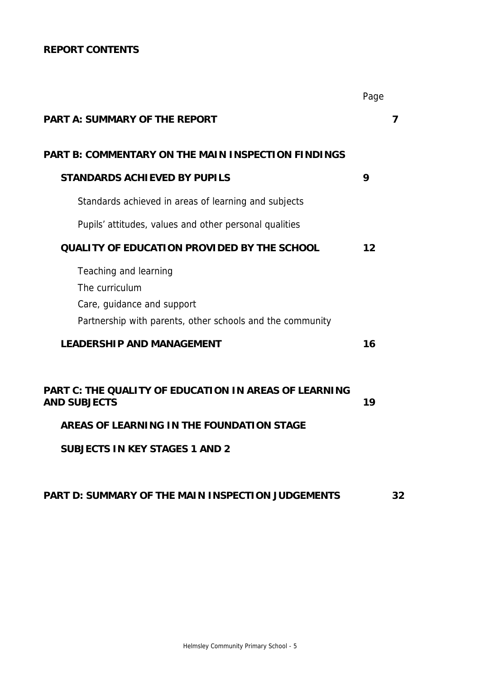## **REPORT CONTENTS**

|                                                                                                                                                                    | Page |   |
|--------------------------------------------------------------------------------------------------------------------------------------------------------------------|------|---|
| <b>PART A: SUMMARY OF THE REPORT</b>                                                                                                                               |      | 7 |
| PART B: COMMENTARY ON THE MAIN INSPECTION FINDINGS                                                                                                                 |      |   |
| <b>STANDARDS ACHIEVED BY PUPILS</b>                                                                                                                                | 9    |   |
| Standards achieved in areas of learning and subjects                                                                                                               |      |   |
| Pupils' attitudes, values and other personal qualities                                                                                                             |      |   |
| <b>QUALITY OF EDUCATION PROVIDED BY THE SCHOOL</b>                                                                                                                 | 12   |   |
| Teaching and learning<br>The curriculum<br>Care, guidance and support<br>Partnership with parents, other schools and the community                                 |      |   |
| <b>LEADERSHIP AND MANAGEMENT</b>                                                                                                                                   | 16   |   |
| PART C: THE QUALITY OF EDUCATION IN AREAS OF LEARNING<br><b>AND SUBJECTS</b><br>AREAS OF LEARNING IN THE FOUNDATION STAGE<br><b>SUBJECTS IN KEY STAGES 1 AND 2</b> | 19   |   |

## **PART D: SUMMARY OF THE MAIN INSPECTION JUDGEMENTS 32**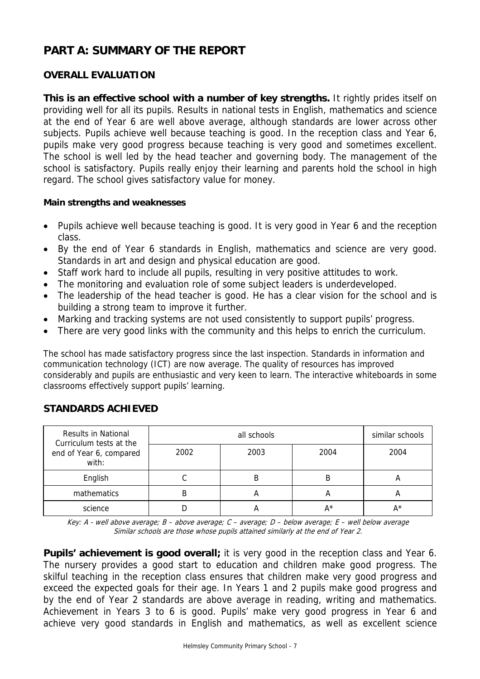# **PART A: SUMMARY OF THE REPORT**

## **OVERALL EVALUATION**

**This is an effective school with a number of key strengths.** It rightly prides itself on providing well for all its pupils. Results in national tests in English, mathematics and science at the end of Year 6 are well above average, although standards are lower across other subjects. Pupils achieve well because teaching is good. In the reception class and Year 6, pupils make very good progress because teaching is very good and sometimes excellent. The school is well led by the head teacher and governing body. The management of the school is satisfactory. Pupils really enjoy their learning and parents hold the school in high regard. The school gives satisfactory value for money.

#### **Main strengths and weaknesses**

- Pupils achieve well because teaching is good. It is very good in Year 6 and the reception class.
- By the end of Year 6 standards in English, mathematics and science are very good. Standards in art and design and physical education are good.
- Staff work hard to include all pupils, resulting in very positive attitudes to work.
- The monitoring and evaluation role of some subject leaders is underdeveloped.
- The leadership of the head teacher is good. He has a clear vision for the school and is building a strong team to improve it further.
- Marking and tracking systems are not used consistently to support pupils' progress.
- There are very good links with the community and this helps to enrich the curriculum.

The school has made satisfactory progress since the last inspection. Standards in information and communication technology (ICT) are now average. The quality of resources has improved considerably and pupils are enthusiastic and very keen to learn. The interactive whiteboards in some classrooms effectively support pupils' learning.

| <b>Results in National</b><br>Curriculum tests at the |      | similar schools |      |      |
|-------------------------------------------------------|------|-----------------|------|------|
| end of Year 6, compared<br>with:                      | 2002 | 2003            | 2004 | 2004 |
| English                                               |      |                 | В    | n    |
| mathematics                                           |      |                 | A    |      |
| science                                               |      |                 | A*   | A*   |

## **STANDARDS ACHIEVED**

Key: A - well above average; B – above average; C – average; D – below average; E – well below average Similar schools are those whose pupils attained similarly at the end of Year 2.

**Pupils' achievement is good overall;** it is very good in the reception class and Year 6. The nursery provides a good start to education and children make good progress. The skilful teaching in the reception class ensures that children make very good progress and exceed the expected goals for their age. In Years 1 and 2 pupils make good progress and by the end of Year 2 standards are above average in reading, writing and mathematics. Achievement in Years 3 to 6 is good. Pupils' make very good progress in Year 6 and achieve very good standards in English and mathematics, as well as excellent science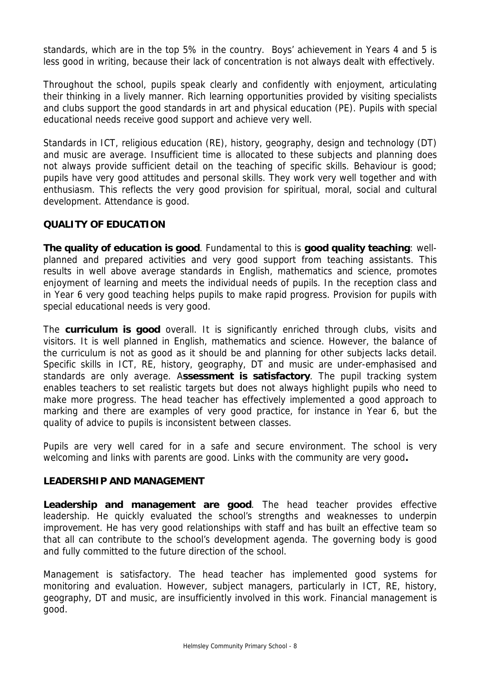standards, which are in the top 5% in the country. Boys' achievement in Years 4 and 5 is less good in writing, because their lack of concentration is not always dealt with effectively.

Throughout the school, pupils speak clearly and confidently with enjoyment, articulating their thinking in a lively manner. Rich learning opportunities provided by visiting specialists and clubs support the good standards in art and physical education (PE). Pupils with special educational needs receive good support and achieve very well.

Standards in ICT, religious education (RE), history, geography, design and technology (DT) and music are average. Insufficient time is allocated to these subjects and planning does not always provide sufficient detail on the teaching of specific skills. Behaviour is good; pupils have very good attitudes and personal skills. They work very well together and with enthusiasm. This reflects the very good provision for spiritual, moral, social and cultural development. Attendance is good.

## **QUALITY OF EDUCATION**

**The quality of education is good**. Fundamental to this is **good quality teaching**: wellplanned and prepared activities and very good support from teaching assistants. This results in well above average standards in English, mathematics and science, promotes enjoyment of learning and meets the individual needs of pupils. In the reception class and in Year 6 very good teaching helps pupils to make rapid progress. Provision for pupils with special educational needs is very good.

The **curriculum is good** overall. It is significantly enriched through clubs, visits and visitors. It is well planned in English, mathematics and science. However, the balance of the curriculum is not as good as it should be and planning for other subjects lacks detail. Specific skills in ICT, RE, history, geography, DT and music are under-emphasised and standards are only average. A**ssessment is satisfactory**. The pupil tracking system enables teachers to set realistic targets but does not always highlight pupils who need to make more progress. The head teacher has effectively implemented a good approach to marking and there are examples of very good practice, for instance in Year 6, but the quality of advice to pupils is inconsistent between classes.

Pupils are very well cared for in a safe and secure environment. The school is very welcoming and links with parents are good. Links with the community are very good**.** 

## **LEADERSHIP AND MANAGEMENT**

**Leadership and management are good**. The head teacher provides effective leadership. He quickly evaluated the school's strengths and weaknesses to underpin improvement. He has very good relationships with staff and has built an effective team so that all can contribute to the school's development agenda. The governing body is good and fully committed to the future direction of the school.

Management is satisfactory. The head teacher has implemented good systems for monitoring and evaluation. However, subject managers, particularly in ICT, RE, history, geography, DT and music, are insufficiently involved in this work. Financial management is good.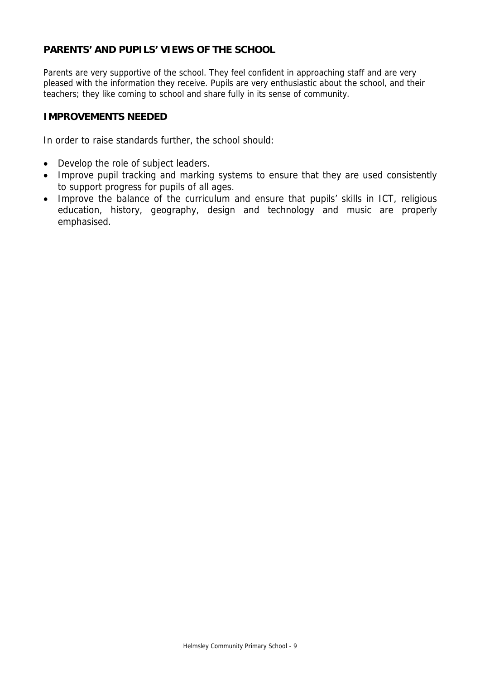## **PARENTS' AND PUPILS' VIEWS OF THE SCHOOL**

Parents are very supportive of the school. They feel confident in approaching staff and are very pleased with the information they receive. Pupils are very enthusiastic about the school, and their teachers; they like coming to school and share fully in its sense of community.

#### **IMPROVEMENTS NEEDED**

In order to raise standards further, the school should:

- Develop the role of subject leaders.
- Improve pupil tracking and marking systems to ensure that they are used consistently to support progress for pupils of all ages.
- Improve the balance of the curriculum and ensure that pupils' skills in ICT, religious education, history, geography, design and technology and music are properly emphasised.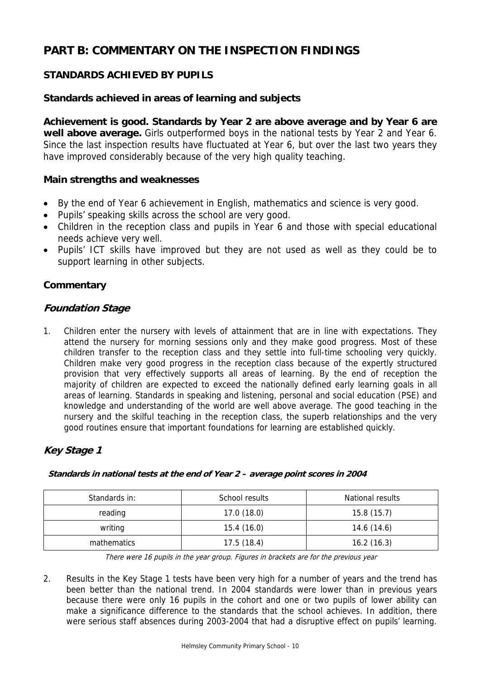# **PART B: COMMENTARY ON THE INSPECTION FINDINGS**

## **STANDARDS ACHIEVED BY PUPILS**

## **Standards achieved in areas of learning and subjects**

**Achievement is good. Standards by Year 2 are above average and by Year 6 are well above average.** Girls outperformed boys in the national tests by Year 2 and Year 6. Since the last inspection results have fluctuated at Year 6, but over the last two years they have improved considerably because of the very high quality teaching.

## **Main strengths and weaknesses**

- By the end of Year 6 achievement in English, mathematics and science is very good.
- Pupils' speaking skills across the school are very good.
- Children in the reception class and pupils in Year 6 and those with special educational needs achieve very well.
- Pupils' ICT skills have improved but they are not used as well as they could be to support learning in other subjects.

## **Commentary**

## **Foundation Stage**

1. Children enter the nursery with levels of attainment that are in line with expectations. They attend the nursery for morning sessions only and they make good progress. Most of these children transfer to the reception class and they settle into full-time schooling very quickly. Children make very good progress in the reception class because of the expertly structured provision that very effectively supports all areas of learning. By the end of reception the majority of children are expected to exceed the nationally defined early learning goals in all areas of learning. Standards in speaking and listening, personal and social education (PSE) and knowledge and understanding of the world are well above average. The good teaching in the nursery and the skilful teaching in the reception class, the superb relationships and the very good routines ensure that important foundations for learning are established quickly.

## **Key Stage 1**

| Standards in: | School results | National results |
|---------------|----------------|------------------|
| reading       | 17.0(18.0)     | 15.8(15.7)       |
| writing       | 15.4(16.0)     | 14.6 (14.6)      |
| mathematics   | 17.5(18.4)     | 16.2(16.3)       |

#### **Standards in national tests at the end of Year 2 – average point scores in 2004**

There were 16 pupils in the year group. Figures in brackets are for the previous year

2. Results in the Key Stage 1 tests have been very high for a number of years and the trend has been better than the national trend. In 2004 standards were lower than in previous years because there were only 16 pupils in the cohort and one or two pupils of lower ability can make a significance difference to the standards that the school achieves. In addition, there were serious staff absences during 2003-2004 that had a disruptive effect on pupils' learning.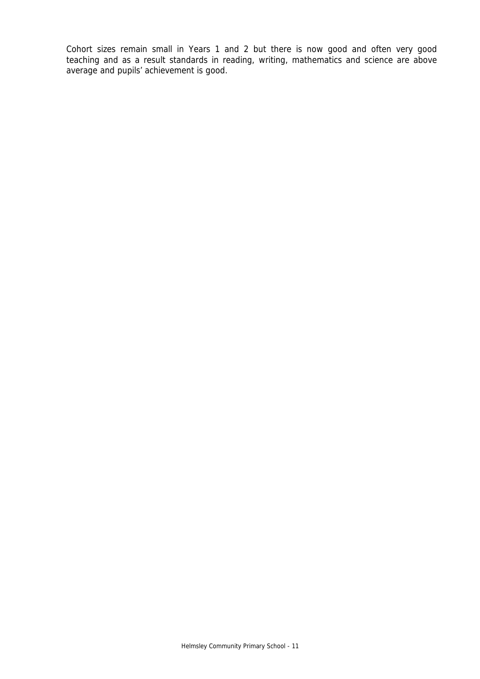Cohort sizes remain small in Years 1 and 2 but there is now good and often very good teaching and as a result standards in reading, writing, mathematics and science are above average and pupils' achievement is good.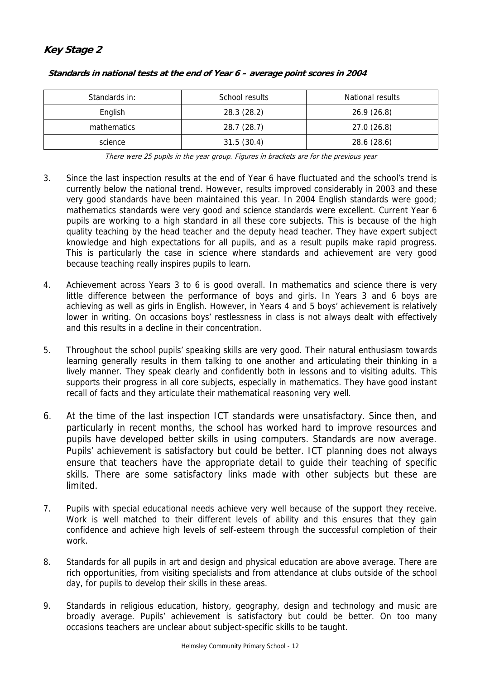## **Key Stage 2**

| Standards in: | School results | <b>National results</b> |
|---------------|----------------|-------------------------|
| English       | 28.3 (28.2)    | 26.9(26.8)              |
| mathematics   | 28.7 (28.7)    | 27.0(26.8)              |
| science       | 31.5(30.4)     | 28.6 (28.6)             |

#### **Standards in national tests at the end of Year 6 – average point scores in 2004**

There were 25 pupils in the year group. Figures in brackets are for the previous year

- 3. Since the last inspection results at the end of Year 6 have fluctuated and the school's trend is currently below the national trend. However, results improved considerably in 2003 and these very good standards have been maintained this year. In 2004 English standards were good; mathematics standards were very good and science standards were excellent. Current Year 6 pupils are working to a high standard in all these core subjects. This is because of the high quality teaching by the head teacher and the deputy head teacher. They have expert subject knowledge and high expectations for all pupils, and as a result pupils make rapid progress. This is particularly the case in science where standards and achievement are very good because teaching really inspires pupils to learn.
- 4. Achievement across Years 3 to 6 is good overall. In mathematics and science there is very little difference between the performance of boys and girls. In Years 3 and 6 boys are achieving as well as girls in English. However, in Years 4 and 5 boys' achievement is relatively lower in writing. On occasions boys' restlessness in class is not always dealt with effectively and this results in a decline in their concentration.
- 5. Throughout the school pupils' speaking skills are very good. Their natural enthusiasm towards learning generally results in them talking to one another and articulating their thinking in a lively manner. They speak clearly and confidently both in lessons and to visiting adults. This supports their progress in all core subjects, especially in mathematics. They have good instant recall of facts and they articulate their mathematical reasoning very well.
- 6. At the time of the last inspection ICT standards were unsatisfactory. Since then, and particularly in recent months, the school has worked hard to improve resources and pupils have developed better skills in using computers. Standards are now average. Pupils' achievement is satisfactory but could be better. ICT planning does not always ensure that teachers have the appropriate detail to guide their teaching of specific skills. There are some satisfactory links made with other subjects but these are limited.
- 7. Pupils with special educational needs achieve very well because of the support they receive. Work is well matched to their different levels of ability and this ensures that they gain confidence and achieve high levels of self-esteem through the successful completion of their work.
- 8. Standards for all pupils in art and design and physical education are above average. There are rich opportunities, from visiting specialists and from attendance at clubs outside of the school day, for pupils to develop their skills in these areas.
- 9. Standards in religious education, history, geography, design and technology and music are broadly average. Pupils' achievement is satisfactory but could be better. On too many occasions teachers are unclear about subject-specific skills to be taught.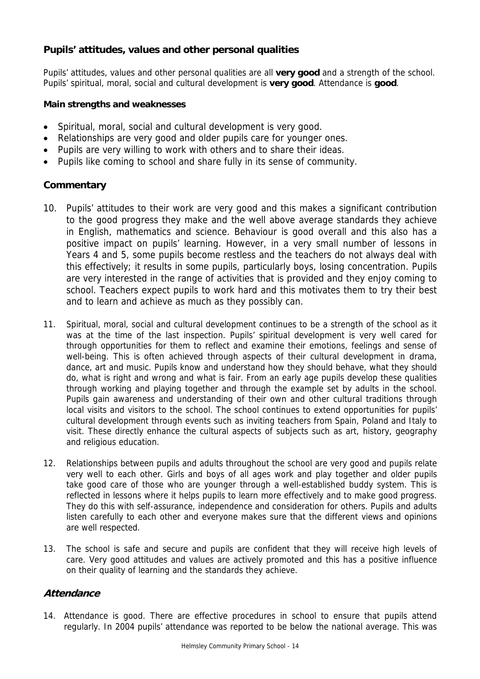## **Pupils' attitudes, values and other personal qualities**

Pupils' attitudes, values and other personal qualities are all **very good** and a strength of the school. Pupils' spiritual, moral, social and cultural development is **very good**. Attendance is **good**.

#### **Main strengths and weaknesses**

- Spiritual, moral, social and cultural development is very good.
- Relationships are very good and older pupils care for younger ones.
- Pupils are very willing to work with others and to share their ideas.
- Pupils like coming to school and share fully in its sense of community.

## **Commentary**

- 10. Pupils' attitudes to their work are very good and this makes a significant contribution to the good progress they make and the well above average standards they achieve in English, mathematics and science. Behaviour is good overall and this also has a positive impact on pupils' learning. However, in a very small number of lessons in Years 4 and 5, some pupils become restless and the teachers do not always deal with this effectively; it results in some pupils, particularly boys, losing concentration. Pupils are very interested in the range of activities that is provided and they enjoy coming to school. Teachers expect pupils to work hard and this motivates them to try their best and to learn and achieve as much as they possibly can.
- 11. Spiritual, moral, social and cultural development continues to be a strength of the school as it was at the time of the last inspection. Pupils' spiritual development is very well cared for through opportunities for them to reflect and examine their emotions, feelings and sense of well-being. This is often achieved through aspects of their cultural development in drama, dance, art and music. Pupils know and understand how they should behave, what they should do, what is right and wrong and what is fair. From an early age pupils develop these qualities through working and playing together and through the example set by adults in the school. Pupils gain awareness and understanding of their own and other cultural traditions through local visits and visitors to the school. The school continues to extend opportunities for pupils' cultural development through events such as inviting teachers from Spain, Poland and Italy to visit. These directly enhance the cultural aspects of subjects such as art, history, geography and religious education.
- 12. Relationships between pupils and adults throughout the school are very good and pupils relate very well to each other. Girls and boys of all ages work and play together and older pupils take good care of those who are younger through a well-established buddy system. This is reflected in lessons where it helps pupils to learn more effectively and to make good progress. They do this with self-assurance, independence and consideration for others. Pupils and adults listen carefully to each other and everyone makes sure that the different views and opinions are well respected.
- 13. The school is safe and secure and pupils are confident that they will receive high levels of care. Very good attitudes and values are actively promoted and this has a positive influence on their quality of learning and the standards they achieve.

## **Attendance**

14. Attendance is good. There are effective procedures in school to ensure that pupils attend regularly. In 2004 pupils' attendance was reported to be below the national average. This was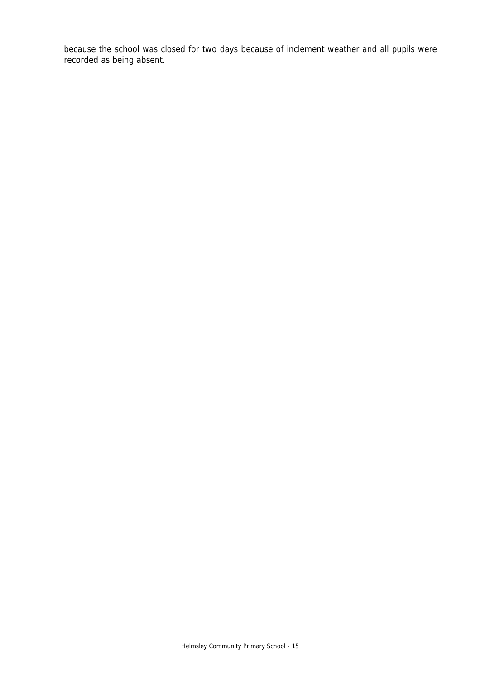because the school was closed for two days because of inclement weather and all pupils were recorded as being absent.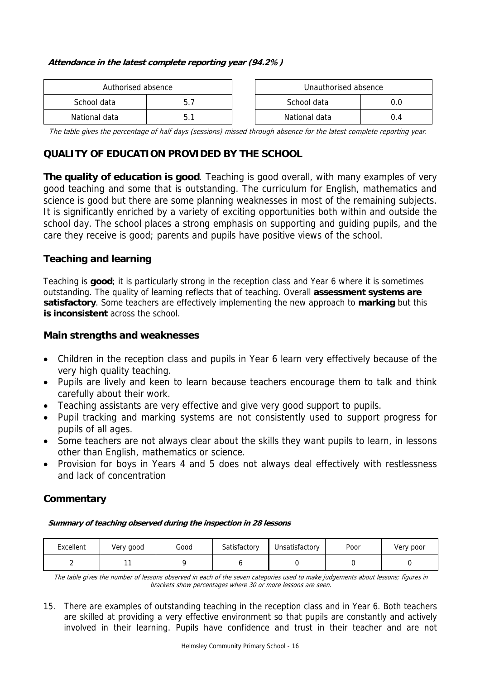#### **Attendance in the latest complete reporting year (94.2%)**

| Authorised absence |     | Unauthorised absence |     |
|--------------------|-----|----------------------|-----|
| School data        | 5.7 | School data          |     |
| National data      | 5.1 | National data        | 0.4 |

| Authorised absence |    | Unauthorised absence |     |
|--------------------|----|----------------------|-----|
| lata               | ь. | School data<br>0.0   |     |
| data               |    | National data        | 0.4 |

The table gives the percentage of half days (sessions) missed through absence for the latest complete reporting year.

## **QUALITY OF EDUCATION PROVIDED BY THE SCHOOL**

**The quality of education is good**. Teaching is good overall, with many examples of very good teaching and some that is outstanding. The curriculum for English, mathematics and science is good but there are some planning weaknesses in most of the remaining subjects. It is significantly enriched by a variety of exciting opportunities both within and outside the school day. The school places a strong emphasis on supporting and guiding pupils, and the care they receive is good; parents and pupils have positive views of the school.

## **Teaching and learning**

Teaching is **good**; it is particularly strong in the reception class and Year 6 where it is sometimes outstanding. The quality of learning reflects that of teaching. Overall **assessment systems are satisfactory**. Some teachers are effectively implementing the new approach to **marking** but this **is inconsistent** across the school.

## **Main strengths and weaknesses**

- Children in the reception class and pupils in Year 6 learn very effectively because of the very high quality teaching.
- Pupils are lively and keen to learn because teachers encourage them to talk and think carefully about their work.
- Teaching assistants are very effective and give very good support to pupils.
- Pupil tracking and marking systems are not consistently used to support progress for pupils of all ages.
- Some teachers are not always clear about the skills they want pupils to learn, in lessons other than English, mathematics or science.
- Provision for boys in Years 4 and 5 does not always deal effectively with restlessness and lack of concentration

## **Commentary**

| Summary of teaching observed during the inspection in 28 lessons |
|------------------------------------------------------------------|
|------------------------------------------------------------------|

| Excellent | Very good | Good | Satisfactory | Unsatisfactory | Poor | Very poor |
|-----------|-----------|------|--------------|----------------|------|-----------|
|           |           |      |              |                |      |           |

The table gives the number of lessons observed in each of the seven categories used to make judgements about lessons; figures in brackets show percentages where 30 or more lessons are seen.

15. There are examples of outstanding teaching in the reception class and in Year 6. Both teachers are skilled at providing a very effective environment so that pupils are constantly and actively involved in their learning. Pupils have confidence and trust in their teacher and are not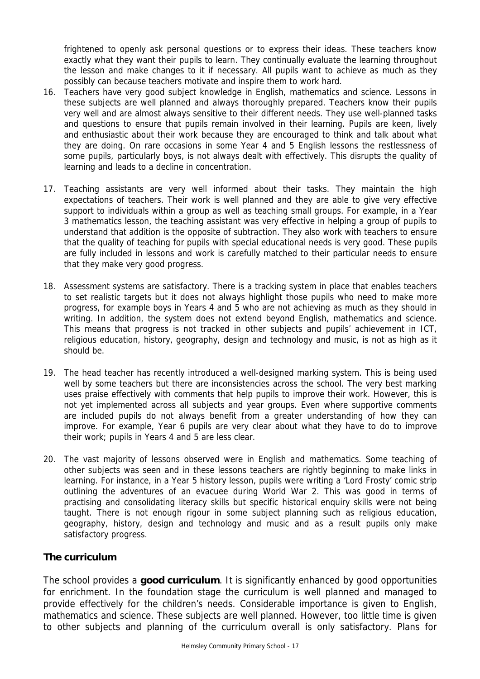frightened to openly ask personal questions or to express their ideas. These teachers know exactly what they want their pupils to learn. They continually evaluate the learning throughout the lesson and make changes to it if necessary. All pupils want to achieve as much as they possibly can because teachers motivate and inspire them to work hard.

- 16. Teachers have very good subject knowledge in English, mathematics and science. Lessons in these subjects are well planned and always thoroughly prepared. Teachers know their pupils very well and are almost always sensitive to their different needs. They use well-planned tasks and questions to ensure that pupils remain involved in their learning. Pupils are keen, lively and enthusiastic about their work because they are encouraged to think and talk about what they are doing. On rare occasions in some Year 4 and 5 English lessons the restlessness of some pupils, particularly boys, is not always dealt with effectively. This disrupts the quality of learning and leads to a decline in concentration.
- 17. Teaching assistants are very well informed about their tasks. They maintain the high expectations of teachers. Their work is well planned and they are able to give very effective support to individuals within a group as well as teaching small groups. For example, in a Year 3 mathematics lesson, the teaching assistant was very effective in helping a group of pupils to understand that addition is the opposite of subtraction. They also work with teachers to ensure that the quality of teaching for pupils with special educational needs is very good. These pupils are fully included in lessons and work is carefully matched to their particular needs to ensure that they make very good progress.
- 18. Assessment systems are satisfactory. There is a tracking system in place that enables teachers to set realistic targets but it does not always highlight those pupils who need to make more progress, for example boys in Years 4 and 5 who are not achieving as much as they should in writing. In addition, the system does not extend beyond English, mathematics and science. This means that progress is not tracked in other subjects and pupils' achievement in ICT, religious education, history, geography, design and technology and music, is not as high as it should be.
- 19. The head teacher has recently introduced a well-designed marking system. This is being used well by some teachers but there are inconsistencies across the school. The very best marking uses praise effectively with comments that help pupils to improve their work. However, this is not yet implemented across all subjects and year groups. Even where supportive comments are included pupils do not always benefit from a greater understanding of how they can improve. For example, Year 6 pupils are very clear about what they have to do to improve their work; pupils in Years 4 and 5 are less clear.
- 20. The vast majority of lessons observed were in English and mathematics. Some teaching of other subjects was seen and in these lessons teachers are rightly beginning to make links in learning. For instance, in a Year 5 history lesson, pupils were writing a 'Lord Frosty' comic strip outlining the adventures of an evacuee during World War 2. This was good in terms of practising and consolidating literacy skills but specific historical enquiry skills were not being taught. There is not enough rigour in some subject planning such as religious education, geography, history, design and technology and music and as a result pupils only make satisfactory progress.

## **The curriculum**

The school provides a **good curriculum**. It is significantly enhanced by good opportunities for enrichment. In the foundation stage the curriculum is well planned and managed to provide effectively for the children's needs. Considerable importance is given to English, mathematics and science. These subjects are well planned. However, too little time is given to other subjects and planning of the curriculum overall is only satisfactory. Plans for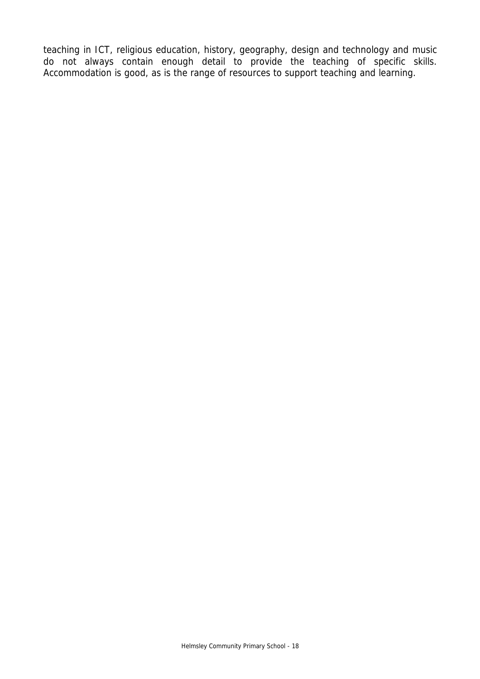teaching in ICT, religious education, history, geography, design and technology and music do not always contain enough detail to provide the teaching of specific skills. Accommodation is good, as is the range of resources to support teaching and learning.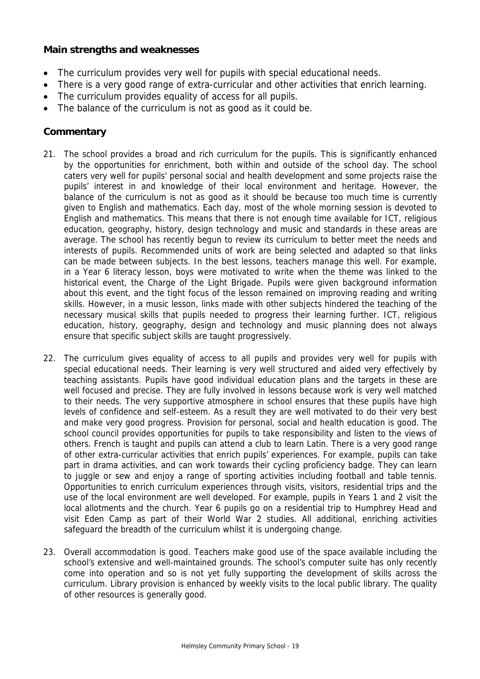## **Main strengths and weaknesses**

- The curriculum provides very well for pupils with special educational needs.
- There is a very good range of extra-curricular and other activities that enrich learning.
- The curriculum provides equality of access for all pupils.
- The balance of the curriculum is not as good as it could be.

## **Commentary**

- 21. The school provides a broad and rich curriculum for the pupils. This is significantly enhanced by the opportunities for enrichment, both within and outside of the school day. The school caters very well for pupils' personal social and health development and some projects raise the pupils' interest in and knowledge of their local environment and heritage. However, the balance of the curriculum is not as good as it should be because too much time is currently given to English and mathematics. Each day, most of the whole morning session is devoted to English and mathematics. This means that there is not enough time available for ICT, religious education, geography, history, design technology and music and standards in these areas are average. The school has recently begun to review its curriculum to better meet the needs and interests of pupils. Recommended units of work are being selected and adapted so that links can be made between subjects. In the best lessons, teachers manage this well. For example, in a Year 6 literacy lesson, boys were motivated to write when the theme was linked to the historical event, the Charge of the Light Brigade. Pupils were given background information about this event, and the tight focus of the lesson remained on improving reading and writing skills. However, in a music lesson, links made with other subjects hindered the teaching of the necessary musical skills that pupils needed to progress their learning further. ICT, religious education, history, geography, design and technology and music planning does not always ensure that specific subject skills are taught progressively.
- 22. The curriculum gives equality of access to all pupils and provides very well for pupils with special educational needs. Their learning is very well structured and aided very effectively by teaching assistants. Pupils have good individual education plans and the targets in these are well focused and precise. They are fully involved in lessons because work is very well matched to their needs. The very supportive atmosphere in school ensures that these pupils have high levels of confidence and self-esteem. As a result they are well motivated to do their very best and make very good progress. Provision for personal, social and health education is good. The school council provides opportunities for pupils to take responsibility and listen to the views of others. French is taught and pupils can attend a club to learn Latin. There is a very good range of other extra-curricular activities that enrich pupils' experiences. For example, pupils can take part in drama activities, and can work towards their cycling proficiency badge. They can learn to juggle or sew and enjoy a range of sporting activities including football and table tennis. Opportunities to enrich curriculum experiences through visits, visitors, residential trips and the use of the local environment are well developed. For example, pupils in Years 1 and 2 visit the local allotments and the church. Year 6 pupils go on a residential trip to Humphrey Head and visit Eden Camp as part of their World War 2 studies. All additional, enriching activities safeguard the breadth of the curriculum whilst it is undergoing change.
- 23. Overall accommodation is good. Teachers make good use of the space available including the school's extensive and well-maintained grounds. The school's computer suite has only recently come into operation and so is not yet fully supporting the development of skills across the curriculum. Library provision is enhanced by weekly visits to the local public library. The quality of other resources is generally good.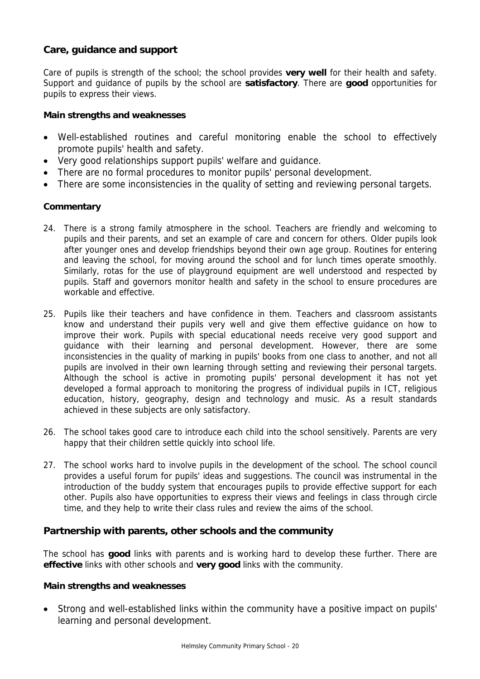## **Care, guidance and support**

Care of pupils is strength of the school; the school provides **very well** for their health and safety. Support and guidance of pupils by the school are **satisfactory**. There are **good** opportunities for pupils to express their views.

#### **Main strengths and weaknesses**

- Well-established routines and careful monitoring enable the school to effectively promote pupils' health and safety.
- Very good relationships support pupils' welfare and guidance.
- There are no formal procedures to monitor pupils' personal development.
- There are some inconsistencies in the quality of setting and reviewing personal targets.

#### **Commentary**

- 24. There is a strong family atmosphere in the school. Teachers are friendly and welcoming to pupils and their parents, and set an example of care and concern for others. Older pupils look after younger ones and develop friendships beyond their own age group. Routines for entering and leaving the school, for moving around the school and for lunch times operate smoothly. Similarly, rotas for the use of playground equipment are well understood and respected by pupils. Staff and governors monitor health and safety in the school to ensure procedures are workable and effective.
- 25. Pupils like their teachers and have confidence in them. Teachers and classroom assistants know and understand their pupils very well and give them effective guidance on how to improve their work. Pupils with special educational needs receive very good support and guidance with their learning and personal development. However, there are some inconsistencies in the quality of marking in pupils' books from one class to another, and not all pupils are involved in their own learning through setting and reviewing their personal targets. Although the school is active in promoting pupils' personal development it has not yet developed a formal approach to monitoring the progress of individual pupils in ICT, religious education, history, geography, design and technology and music. As a result standards achieved in these subjects are only satisfactory.
- 26. The school takes good care to introduce each child into the school sensitively. Parents are very happy that their children settle quickly into school life.
- 27. The school works hard to involve pupils in the development of the school. The school council provides a useful forum for pupils' ideas and suggestions. The council was instrumental in the introduction of the buddy system that encourages pupils to provide effective support for each other. Pupils also have opportunities to express their views and feelings in class through circle time, and they help to write their class rules and review the aims of the school.

## **Partnership with parents, other schools and the community**

The school has **good** links with parents and is working hard to develop these further. There are **effective** links with other schools and **very good** links with the community.

#### **Main strengths and weaknesses**

• Strong and well-established links within the community have a positive impact on pupils' learning and personal development.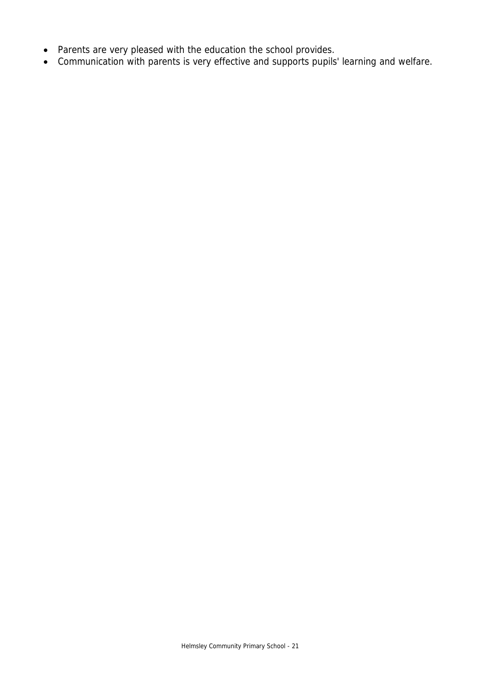- Parents are very pleased with the education the school provides.
- Communication with parents is very effective and supports pupils' learning and welfare.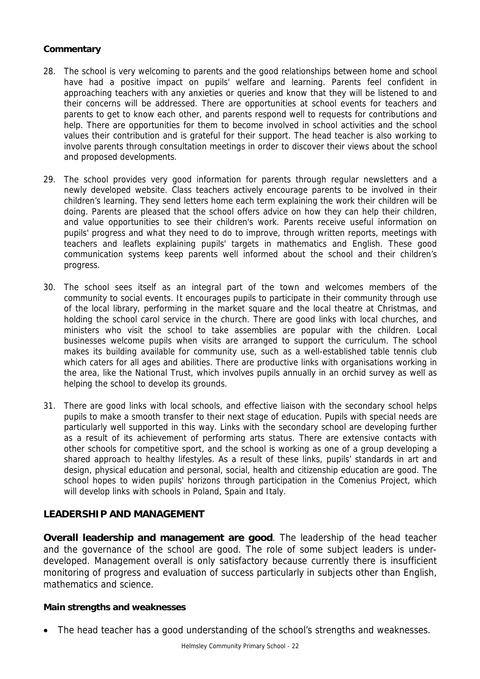- 28. The school is very welcoming to parents and the good relationships between home and school have had a positive impact on pupils' welfare and learning. Parents feel confident in approaching teachers with any anxieties or queries and know that they will be listened to and their concerns will be addressed. There are opportunities at school events for teachers and parents to get to know each other, and parents respond well to requests for contributions and help. There are opportunities for them to become involved in school activities and the school values their contribution and is grateful for their support. The head teacher is also working to involve parents through consultation meetings in order to discover their views about the school and proposed developments.
- 29. The school provides very good information for parents through regular newsletters and a newly developed website. Class teachers actively encourage parents to be involved in their children's learning. They send letters home each term explaining the work their children will be doing. Parents are pleased that the school offers advice on how they can help their children, and value opportunities to see their children's work. Parents receive useful information on pupils' progress and what they need to do to improve, through written reports, meetings with teachers and leaflets explaining pupils' targets in mathematics and English. These good communication systems keep parents well informed about the school and their children's progress.
- 30. The school sees itself as an integral part of the town and welcomes members of the community to social events. It encourages pupils to participate in their community through use of the local library, performing in the market square and the local theatre at Christmas, and holding the school carol service in the church. There are good links with local churches, and ministers who visit the school to take assemblies are popular with the children. Local businesses welcome pupils when visits are arranged to support the curriculum. The school makes its building available for community use, such as a well-established table tennis club which caters for all ages and abilities. There are productive links with organisations working in the area, like the National Trust, which involves pupils annually in an orchid survey as well as helping the school to develop its grounds.
- 31. There are good links with local schools, and effective liaison with the secondary school helps pupils to make a smooth transfer to their next stage of education. Pupils with special needs are particularly well supported in this way. Links with the secondary school are developing further as a result of its achievement of performing arts status. There are extensive contacts with other schools for competitive sport, and the school is working as one of a group developing a shared approach to healthy lifestyles. As a result of these links, pupils' standards in art and design, physical education and personal, social, health and citizenship education are good. The school hopes to widen pupils' horizons through participation in the Comenius Project, which will develop links with schools in Poland, Spain and Italy.

## **LEADERSHIP AND MANAGEMENT**

**Overall leadership and management are good**. The leadership of the head teacher and the governance of the school are good. The role of some subject leaders is underdeveloped. Management overall is only satisfactory because currently there is insufficient monitoring of progress and evaluation of success particularly in subjects other than English, mathematics and science.

#### **Main strengths and weaknesses**

• The head teacher has a good understanding of the school's strengths and weaknesses.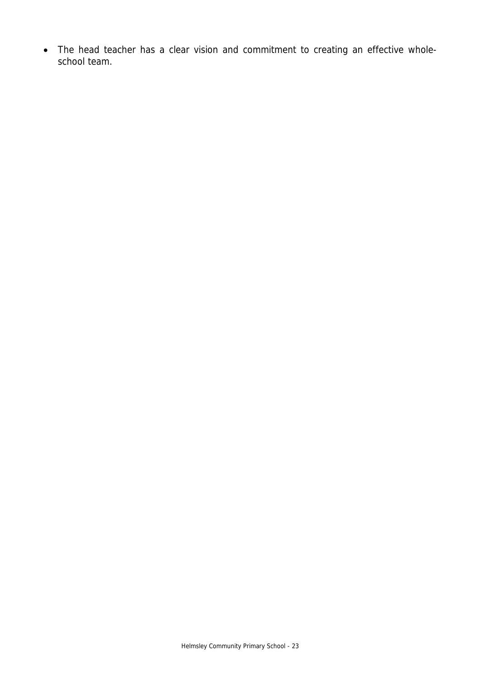• The head teacher has a clear vision and commitment to creating an effective wholeschool team.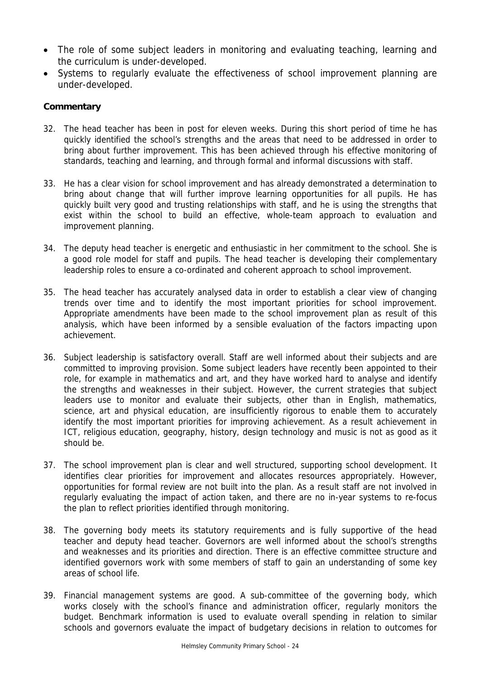- The role of some subject leaders in monitoring and evaluating teaching, learning and the curriculum is under-developed.
- Systems to regularly evaluate the effectiveness of school improvement planning are under-developed.

- 32. The head teacher has been in post for eleven weeks. During this short period of time he has quickly identified the school's strengths and the areas that need to be addressed in order to bring about further improvement. This has been achieved through his effective monitoring of standards, teaching and learning, and through formal and informal discussions with staff.
- 33. He has a clear vision for school improvement and has already demonstrated a determination to bring about change that will further improve learning opportunities for all pupils. He has quickly built very good and trusting relationships with staff, and he is using the strengths that exist within the school to build an effective, whole-team approach to evaluation and improvement planning.
- 34. The deputy head teacher is energetic and enthusiastic in her commitment to the school. She is a good role model for staff and pupils. The head teacher is developing their complementary leadership roles to ensure a co-ordinated and coherent approach to school improvement.
- 35. The head teacher has accurately analysed data in order to establish a clear view of changing trends over time and to identify the most important priorities for school improvement. Appropriate amendments have been made to the school improvement plan as result of this analysis, which have been informed by a sensible evaluation of the factors impacting upon achievement.
- 36. Subject leadership is satisfactory overall. Staff are well informed about their subjects and are committed to improving provision. Some subject leaders have recently been appointed to their role, for example in mathematics and art, and they have worked hard to analyse and identify the strengths and weaknesses in their subject. However, the current strategies that subject leaders use to monitor and evaluate their subjects, other than in English, mathematics, science, art and physical education, are insufficiently rigorous to enable them to accurately identify the most important priorities for improving achievement. As a result achievement in ICT, religious education, geography, history, design technology and music is not as good as it should be.
- 37. The school improvement plan is clear and well structured, supporting school development. It identifies clear priorities for improvement and allocates resources appropriately. However, opportunities for formal review are not built into the plan. As a result staff are not involved in regularly evaluating the impact of action taken, and there are no in-year systems to re-focus the plan to reflect priorities identified through monitoring.
- 38. The governing body meets its statutory requirements and is fully supportive of the head teacher and deputy head teacher. Governors are well informed about the school's strengths and weaknesses and its priorities and direction. There is an effective committee structure and identified governors work with some members of staff to gain an understanding of some key areas of school life.
- 39. Financial management systems are good. A sub-committee of the governing body, which works closely with the school's finance and administration officer, regularly monitors the budget. Benchmark information is used to evaluate overall spending in relation to similar schools and governors evaluate the impact of budgetary decisions in relation to outcomes for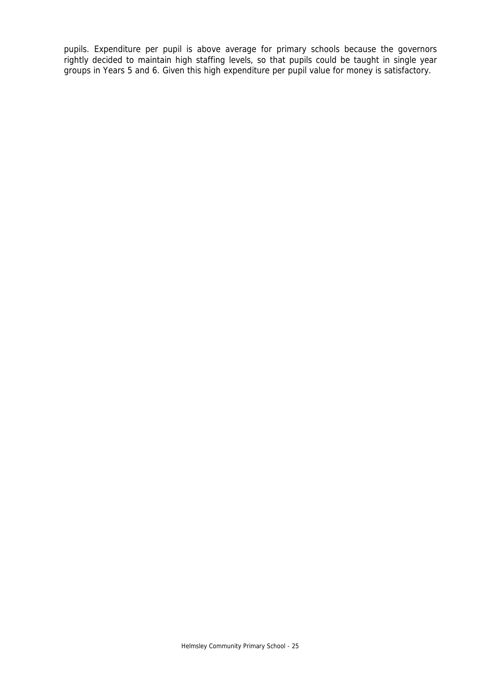pupils. Expenditure per pupil is above average for primary schools because the governors rightly decided to maintain high staffing levels, so that pupils could be taught in single year groups in Years 5 and 6. Given this high expenditure per pupil value for money is satisfactory.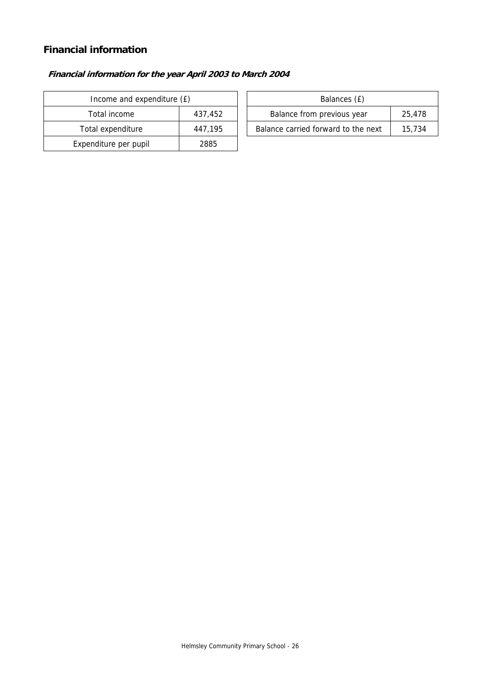## **Financial information**

## **Financial information for the year April 2003 to March 2004**

| Income and expenditure (£) |         |                            | Balances (£)                   |
|----------------------------|---------|----------------------------|--------------------------------|
| Total income<br>437,452    |         | Balance from previous year |                                |
| Total expenditure          | 447.195 |                            | Balance carried forward to the |
| Expenditure per pupil      | 2885    |                            |                                |

| Income and expenditure (£) |         | Balances (£)                        |        |
|----------------------------|---------|-------------------------------------|--------|
| Total income               | 437.452 | Balance from previous year          | 25.478 |
| Total expenditure          | 447.195 | Balance carried forward to the next | 15.734 |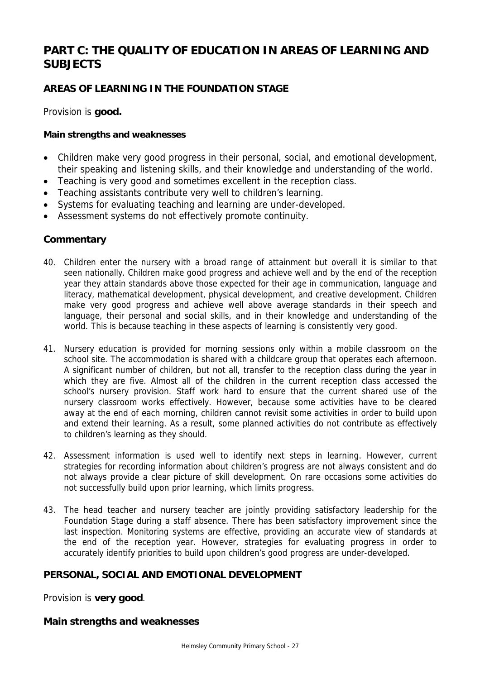# **PART C: THE QUALITY OF EDUCATION IN AREAS OF LEARNING AND SUBJECTS**

## **AREAS OF LEARNING IN THE FOUNDATION STAGE**

Provision is **good.** 

#### **Main strengths and weaknesses**

- Children make very good progress in their personal, social, and emotional development, their speaking and listening skills, and their knowledge and understanding of the world.
- Teaching is very good and sometimes excellent in the reception class.
- Teaching assistants contribute very well to children's learning.
- Systems for evaluating teaching and learning are under-developed.
- Assessment systems do not effectively promote continuity.

## **Commentary**

- 40. Children enter the nursery with a broad range of attainment but overall it is similar to that seen nationally. Children make good progress and achieve well and by the end of the reception year they attain standards above those expected for their age in communication, language and literacy, mathematical development, physical development, and creative development. Children make very good progress and achieve well above average standards in their speech and language, their personal and social skills, and in their knowledge and understanding of the world. This is because teaching in these aspects of learning is consistently very good.
- 41. Nursery education is provided for morning sessions only within a mobile classroom on the school site. The accommodation is shared with a childcare group that operates each afternoon. A significant number of children, but not all, transfer to the reception class during the year in which they are five. Almost all of the children in the current reception class accessed the school's nursery provision. Staff work hard to ensure that the current shared use of the nursery classroom works effectively. However, because some activities have to be cleared away at the end of each morning, children cannot revisit some activities in order to build upon and extend their learning. As a result, some planned activities do not contribute as effectively to children's learning as they should.
- 42. Assessment information is used well to identify next steps in learning. However, current strategies for recording information about children's progress are not always consistent and do not always provide a clear picture of skill development. On rare occasions some activities do not successfully build upon prior learning, which limits progress.
- 43. The head teacher and nursery teacher are jointly providing satisfactory leadership for the Foundation Stage during a staff absence. There has been satisfactory improvement since the last inspection. Monitoring systems are effective, providing an accurate view of standards at the end of the reception year. However, strategies for evaluating progress in order to accurately identify priorities to build upon children's good progress are under-developed.

## **PERSONAL, SOCIAL AND EMOTIONAL DEVELOPMENT**

Provision is **very good**.

#### **Main strengths and weaknesses**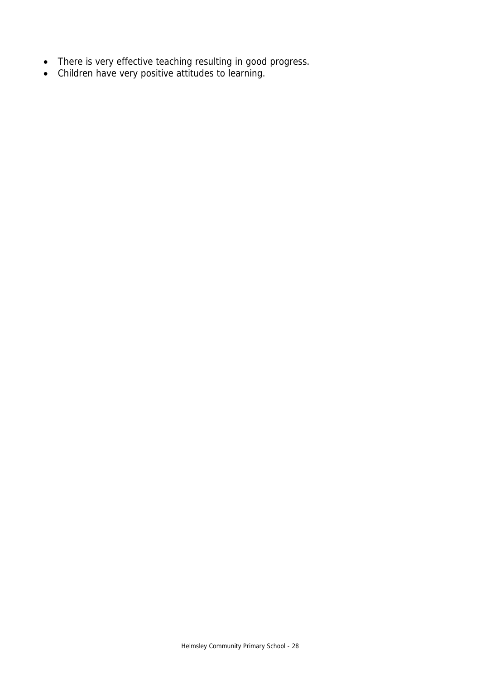- There is very effective teaching resulting in good progress.
- Children have very positive attitudes to learning.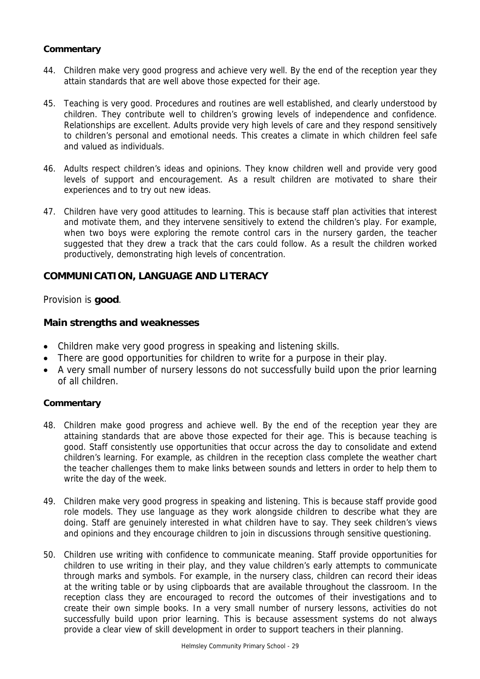- 44. Children make very good progress and achieve very well. By the end of the reception year they attain standards that are well above those expected for their age.
- 45. Teaching is very good. Procedures and routines are well established, and clearly understood by children. They contribute well to children's growing levels of independence and confidence. Relationships are excellent. Adults provide very high levels of care and they respond sensitively to children's personal and emotional needs. This creates a climate in which children feel safe and valued as individuals.
- 46. Adults respect children's ideas and opinions. They know children well and provide very good levels of support and encouragement. As a result children are motivated to share their experiences and to try out new ideas.
- 47. Children have very good attitudes to learning. This is because staff plan activities that interest and motivate them, and they intervene sensitively to extend the children's play. For example, when two boys were exploring the remote control cars in the nursery garden, the teacher suggested that they drew a track that the cars could follow. As a result the children worked productively, demonstrating high levels of concentration.

## **COMMUNICATION, LANGUAGE AND LITERACY**

Provision is **good**.

#### **Main strengths and weaknesses**

- Children make very good progress in speaking and listening skills.
- There are good opportunities for children to write for a purpose in their play.
- A very small number of nursery lessons do not successfully build upon the prior learning of all children.

#### **Commentary**

- 48. Children make good progress and achieve well. By the end of the reception year they are attaining standards that are above those expected for their age. This is because teaching is good. Staff consistently use opportunities that occur across the day to consolidate and extend children's learning. For example, as children in the reception class complete the weather chart the teacher challenges them to make links between sounds and letters in order to help them to write the day of the week.
- 49. Children make very good progress in speaking and listening. This is because staff provide good role models. They use language as they work alongside children to describe what they are doing. Staff are genuinely interested in what children have to say. They seek children's views and opinions and they encourage children to join in discussions through sensitive questioning.
- 50. Children use writing with confidence to communicate meaning. Staff provide opportunities for children to use writing in their play, and they value children's early attempts to communicate through marks and symbols. For example, in the nursery class, children can record their ideas at the writing table or by using clipboards that are available throughout the classroom. In the reception class they are encouraged to record the outcomes of their investigations and to create their own simple books. In a very small number of nursery lessons, activities do not successfully build upon prior learning. This is because assessment systems do not always provide a clear view of skill development in order to support teachers in their planning.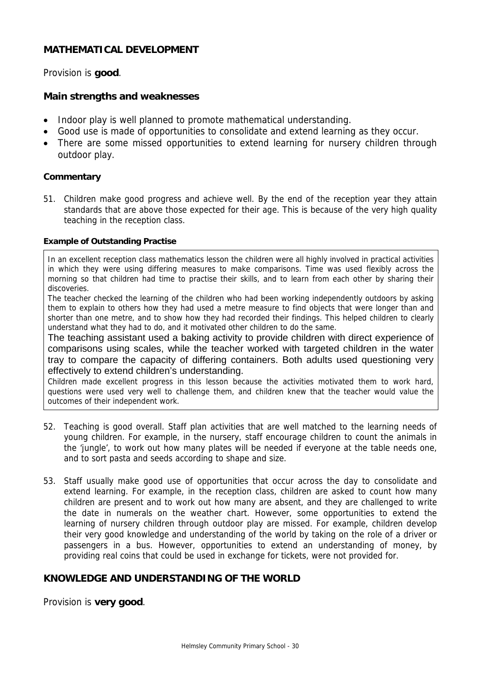## **MATHEMATICAL DEVELOPMENT**

Provision is **good**.

#### **Main strengths and weaknesses**

- Indoor play is well planned to promote mathematical understanding.
- Good use is made of opportunities to consolidate and extend learning as they occur.
- There are some missed opportunities to extend learning for nursery children through outdoor play.

#### **Commentary**

51. Children make good progress and achieve well. By the end of the reception year they attain standards that are above those expected for their age. This is because of the very high quality teaching in the reception class.

#### **Example of Outstanding Practise**

In an excellent reception class mathematics lesson the children were all highly involved in practical activities in which they were using differing measures to make comparisons. Time was used flexibly across the morning so that children had time to practise their skills, and to learn from each other by sharing their discoveries.

The teacher checked the learning of the children who had been working independently outdoors by asking them to explain to others how they had used a metre measure to find objects that were longer than and shorter than one metre, and to show how they had recorded their findings. This helped children to clearly understand what they had to do, and it motivated other children to do the same.

The teaching assistant used a baking activity to provide children with direct experience of comparisons using scales, while the teacher worked with targeted children in the water tray to compare the capacity of differing containers. Both adults used questioning very effectively to extend children's understanding.

Children made excellent progress in this lesson because the activities motivated them to work hard, questions were used very well to challenge them, and children knew that the teacher would value the outcomes of their independent work.

- 52. Teaching is good overall. Staff plan activities that are well matched to the learning needs of young children. For example, in the nursery, staff encourage children to count the animals in the 'jungle', to work out how many plates will be needed if everyone at the table needs one, and to sort pasta and seeds according to shape and size.
- 53. Staff usually make good use of opportunities that occur across the day to consolidate and extend learning. For example, in the reception class, children are asked to count how many children are present and to work out how many are absent, and they are challenged to write the date in numerals on the weather chart. However, some opportunities to extend the learning of nursery children through outdoor play are missed. For example, children develop their very good knowledge and understanding of the world by taking on the role of a driver or passengers in a bus. However, opportunities to extend an understanding of money, by providing real coins that could be used in exchange for tickets, were not provided for.

## **KNOWLEDGE AND UNDERSTANDING OF THE WORLD**

Provision is **very good**.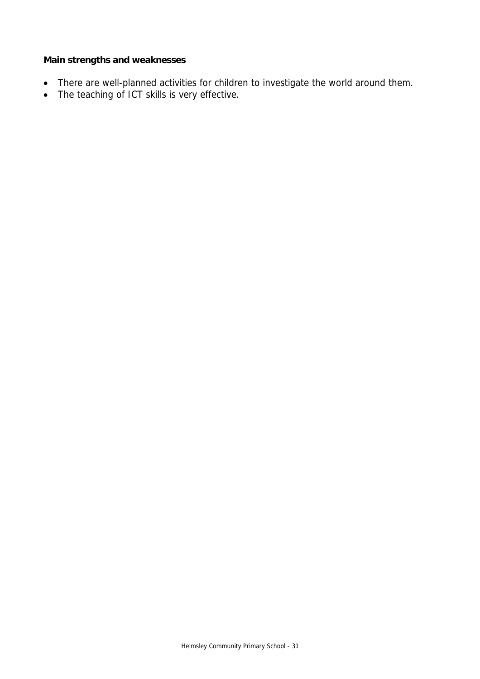## **Main strengths and weaknesses**

- There are well-planned activities for children to investigate the world around them.
- The teaching of ICT skills is very effective.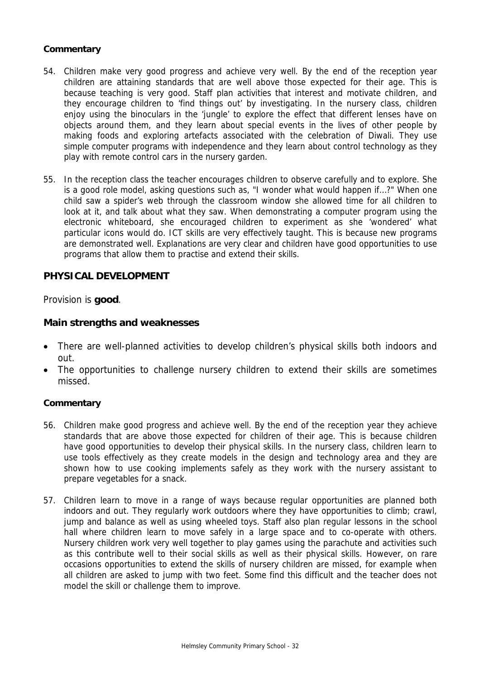- 54. Children make very good progress and achieve very well. By the end of the reception year children are attaining standards that are well above those expected for their age. This is because teaching is very good. Staff plan activities that interest and motivate children, and they encourage children to 'find things out' by investigating. In the nursery class, children enjoy using the binoculars in the 'jungle' to explore the effect that different lenses have on objects around them, and they learn about special events in the lives of other people by making foods and exploring artefacts associated with the celebration of Diwali. They use simple computer programs with independence and they learn about control technology as they play with remote control cars in the nursery garden.
- 55. In the reception class the teacher encourages children to observe carefully and to explore. She is a good role model, asking questions such as, "I wonder what would happen if…?" When one child saw a spider's web through the classroom window she allowed time for all children to look at it, and talk about what they saw. When demonstrating a computer program using the electronic whiteboard, she encouraged children to experiment as she 'wondered' what particular icons would do. ICT skills are very effectively taught. This is because new programs are demonstrated well. Explanations are very clear and children have good opportunities to use programs that allow them to practise and extend their skills.

## **PHYSICAL DEVELOPMENT**

Provision is **good**.

#### **Main strengths and weaknesses**

- There are well-planned activities to develop children's physical skills both indoors and out.
- The opportunities to challenge nursery children to extend their skills are sometimes missed.

#### **Commentary**

- 56. Children make good progress and achieve well. By the end of the reception year they achieve standards that are above those expected for children of their age. This is because children have good opportunities to develop their physical skills. In the nursery class, children learn to use tools effectively as they create models in the design and technology area and they are shown how to use cooking implements safely as they work with the nursery assistant to prepare vegetables for a snack.
- 57. Children learn to move in a range of ways because regular opportunities are planned both indoors and out. They regularly work outdoors where they have opportunities to climb; crawl, jump and balance as well as using wheeled toys. Staff also plan regular lessons in the school hall where children learn to move safely in a large space and to co-operate with others. Nursery children work very well together to play games using the parachute and activities such as this contribute well to their social skills as well as their physical skills. However, on rare occasions opportunities to extend the skills of nursery children are missed, for example when all children are asked to jump with two feet. Some find this difficult and the teacher does not model the skill or challenge them to improve.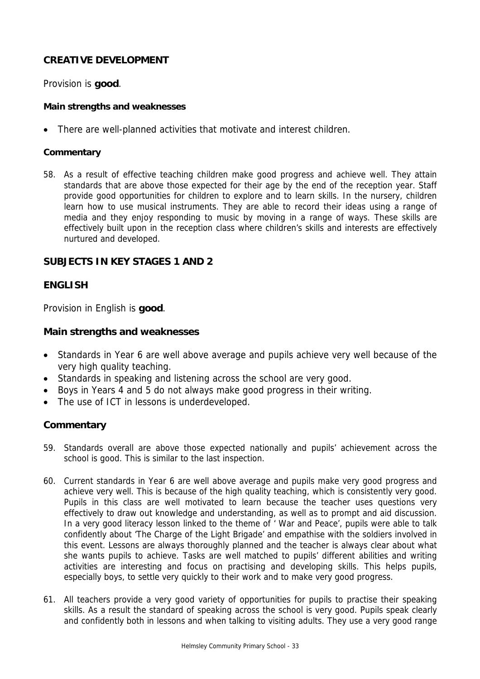## **CREATIVE DEVELOPMENT**

Provision is **good**.

#### **Main strengths and weaknesses**

There are well-planned activities that motivate and interest children.

#### **Commentary**

58. As a result of effective teaching children make good progress and achieve well. They attain standards that are above those expected for their age by the end of the reception year. Staff provide good opportunities for children to explore and to learn skills. In the nursery, children learn how to use musical instruments. They are able to record their ideas using a range of media and they enjoy responding to music by moving in a range of ways. These skills are effectively built upon in the reception class where children's skills and interests are effectively nurtured and developed.

## **SUBJECTS IN KEY STAGES 1 AND 2**

## **ENGLISH**

Provision in English is **good**.

#### **Main strengths and weaknesses**

- Standards in Year 6 are well above average and pupils achieve very well because of the very high quality teaching.
- Standards in speaking and listening across the school are very good.
- Boys in Years 4 and 5 do not always make good progress in their writing.
- The use of ICT in lessons is underdeveloped.

## **Commentary**

- 59. Standards overall are above those expected nationally and pupils' achievement across the school is good. This is similar to the last inspection.
- 60. Current standards in Year 6 are well above average and pupils make very good progress and achieve very well. This is because of the high quality teaching, which is consistently very good. Pupils in this class are well motivated to learn because the teacher uses questions very effectively to draw out knowledge and understanding, as well as to prompt and aid discussion. In a very good literacy lesson linked to the theme of ' War and Peace', pupils were able to talk confidently about 'The Charge of the Light Brigade' and empathise with the soldiers involved in this event. Lessons are always thoroughly planned and the teacher is always clear about what she wants pupils to achieve. Tasks are well matched to pupils' different abilities and writing activities are interesting and focus on practising and developing skills. This helps pupils, especially boys, to settle very quickly to their work and to make very good progress.
- 61. All teachers provide a very good variety of opportunities for pupils to practise their speaking skills. As a result the standard of speaking across the school is very good. Pupils speak clearly and confidently both in lessons and when talking to visiting adults. They use a very good range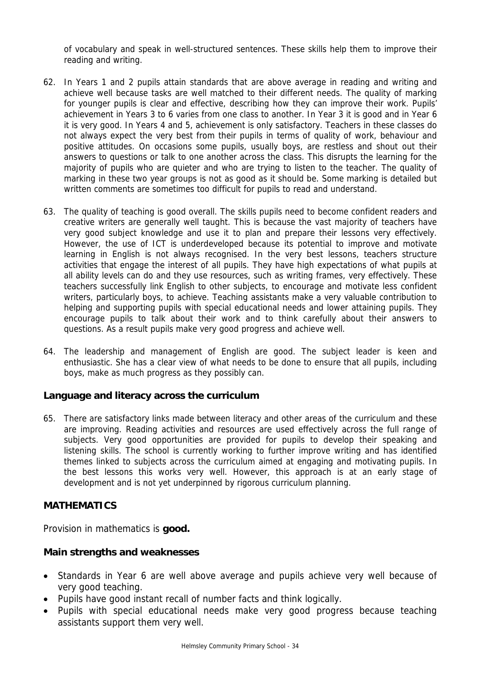of vocabulary and speak in well-structured sentences. These skills help them to improve their reading and writing.

- 62. In Years 1 and 2 pupils attain standards that are above average in reading and writing and achieve well because tasks are well matched to their different needs. The quality of marking for younger pupils is clear and effective, describing how they can improve their work. Pupils' achievement in Years 3 to 6 varies from one class to another. In Year 3 it is good and in Year 6 it is very good. In Years 4 and 5, achievement is only satisfactory. Teachers in these classes do not always expect the very best from their pupils in terms of quality of work, behaviour and positive attitudes. On occasions some pupils, usually boys, are restless and shout out their answers to questions or talk to one another across the class. This disrupts the learning for the majority of pupils who are quieter and who are trying to listen to the teacher. The quality of marking in these two year groups is not as good as it should be. Some marking is detailed but written comments are sometimes too difficult for pupils to read and understand.
- 63. The quality of teaching is good overall. The skills pupils need to become confident readers and creative writers are generally well taught. This is because the vast majority of teachers have very good subject knowledge and use it to plan and prepare their lessons very effectively. However, the use of ICT is underdeveloped because its potential to improve and motivate learning in English is not always recognised. In the very best lessons, teachers structure activities that engage the interest of all pupils. They have high expectations of what pupils at all ability levels can do and they use resources, such as writing frames, very effectively. These teachers successfully link English to other subjects, to encourage and motivate less confident writers, particularly boys, to achieve. Teaching assistants make a very valuable contribution to helping and supporting pupils with special educational needs and lower attaining pupils. They encourage pupils to talk about their work and to think carefully about their answers to questions. As a result pupils make very good progress and achieve well.
- 64. The leadership and management of English are good. The subject leader is keen and enthusiastic. She has a clear view of what needs to be done to ensure that all pupils, including boys, make as much progress as they possibly can.

## **Language and literacy across the curriculum**

65. There are satisfactory links made between literacy and other areas of the curriculum and these are improving. Reading activities and resources are used effectively across the full range of subjects. Very good opportunities are provided for pupils to develop their speaking and listening skills. The school is currently working to further improve writing and has identified themes linked to subjects across the curriculum aimed at engaging and motivating pupils. In the best lessons this works very well. However, this approach is at an early stage of development and is not yet underpinned by rigorous curriculum planning.

## **MATHEMATICS**

Provision in mathematics is **good.**

#### **Main strengths and weaknesses**

- Standards in Year 6 are well above average and pupils achieve very well because of very good teaching.
- Pupils have good instant recall of number facts and think logically.
- Pupils with special educational needs make very good progress because teaching assistants support them very well.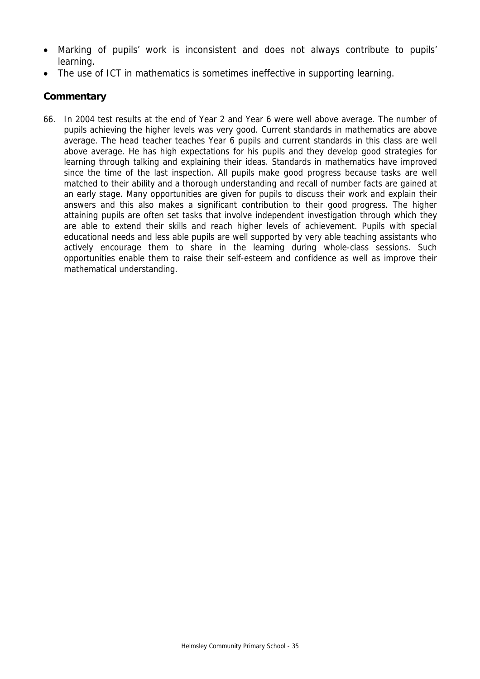- Marking of pupils' work is inconsistent and does not always contribute to pupils' learning.
- The use of ICT in mathematics is sometimes ineffective in supporting learning.

66. In 2004 test results at the end of Year 2 and Year 6 were well above average. The number of pupils achieving the higher levels was very good. Current standards in mathematics are above average. The head teacher teaches Year 6 pupils and current standards in this class are well above average. He has high expectations for his pupils and they develop good strategies for learning through talking and explaining their ideas. Standards in mathematics have improved since the time of the last inspection. All pupils make good progress because tasks are well matched to their ability and a thorough understanding and recall of number facts are gained at an early stage. Many opportunities are given for pupils to discuss their work and explain their answers and this also makes a significant contribution to their good progress. The higher attaining pupils are often set tasks that involve independent investigation through which they are able to extend their skills and reach higher levels of achievement. Pupils with special educational needs and less able pupils are well supported by very able teaching assistants who actively encourage them to share in the learning during whole-class sessions. Such opportunities enable them to raise their self-esteem and confidence as well as improve their mathematical understanding.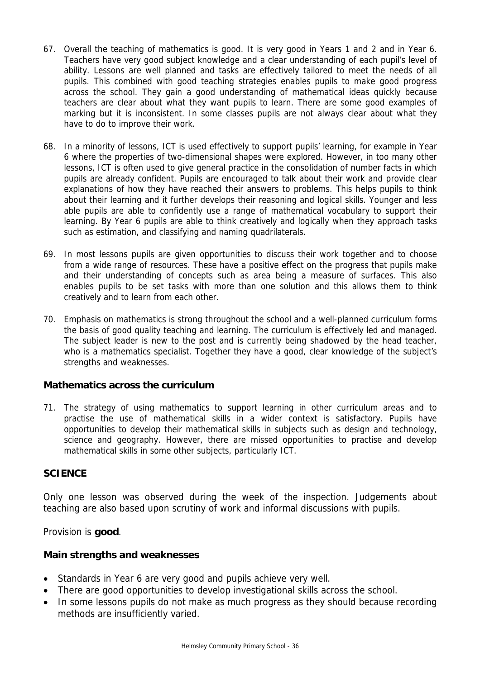- 67. Overall the teaching of mathematics is good. It is very good in Years 1 and 2 and in Year 6. Teachers have very good subject knowledge and a clear understanding of each pupil's level of ability. Lessons are well planned and tasks are effectively tailored to meet the needs of all pupils. This combined with good teaching strategies enables pupils to make good progress across the school. They gain a good understanding of mathematical ideas quickly because teachers are clear about what they want pupils to learn. There are some good examples of marking but it is inconsistent. In some classes pupils are not always clear about what they have to do to improve their work.
- 68. In a minority of lessons, ICT is used effectively to support pupils' learning, for example in Year 6 where the properties of two-dimensional shapes were explored. However, in too many other lessons, ICT is often used to give general practice in the consolidation of number facts in which pupils are already confident. Pupils are encouraged to talk about their work and provide clear explanations of how they have reached their answers to problems. This helps pupils to think about their learning and it further develops their reasoning and logical skills. Younger and less able pupils are able to confidently use a range of mathematical vocabulary to support their learning. By Year 6 pupils are able to think creatively and logically when they approach tasks such as estimation, and classifying and naming quadrilaterals.
- 69. In most lessons pupils are given opportunities to discuss their work together and to choose from a wide range of resources. These have a positive effect on the progress that pupils make and their understanding of concepts such as area being a measure of surfaces. This also enables pupils to be set tasks with more than one solution and this allows them to think creatively and to learn from each other.
- 70. Emphasis on mathematics is strong throughout the school and a well-planned curriculum forms the basis of good quality teaching and learning. The curriculum is effectively led and managed. The subject leader is new to the post and is currently being shadowed by the head teacher, who is a mathematics specialist. Together they have a good, clear knowledge of the subject's strengths and weaknesses.

## **Mathematics across the curriculum**

71. The strategy of using mathematics to support learning in other curriculum areas and to practise the use of mathematical skills in a wider context is satisfactory. Pupils have opportunities to develop their mathematical skills in subjects such as design and technology, science and geography. However, there are missed opportunities to practise and develop mathematical skills in some other subjects, particularly ICT.

## **SCIENCE**

Only one lesson was observed during the week of the inspection. Judgements about teaching are also based upon scrutiny of work and informal discussions with pupils.

Provision is **good**.

## **Main strengths and weaknesses**

- Standards in Year 6 are very good and pupils achieve very well.
- There are good opportunities to develop investigational skills across the school.
- In some lessons pupils do not make as much progress as they should because recording methods are insufficiently varied.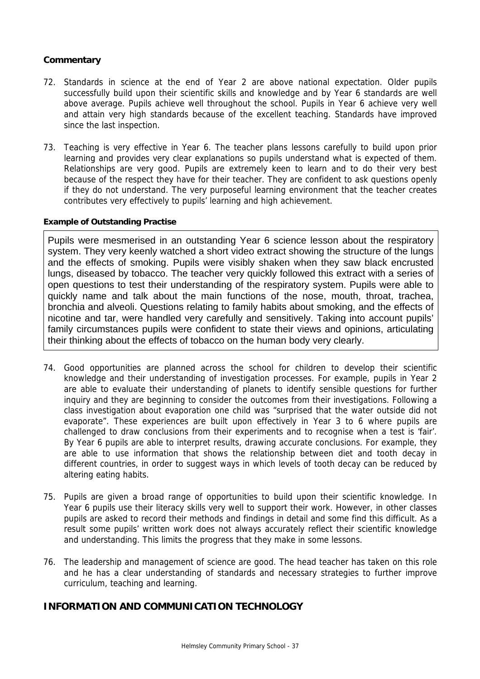- 72. Standards in science at the end of Year 2 are above national expectation. Older pupils successfully build upon their scientific skills and knowledge and by Year 6 standards are well above average. Pupils achieve well throughout the school. Pupils in Year 6 achieve very well and attain very high standards because of the excellent teaching. Standards have improved since the last inspection.
- 73. Teaching is very effective in Year 6. The teacher plans lessons carefully to build upon prior learning and provides very clear explanations so pupils understand what is expected of them. Relationships are very good. Pupils are extremely keen to learn and to do their very best because of the respect they have for their teacher. They are confident to ask questions openly if they do not understand. The very purposeful learning environment that the teacher creates contributes very effectively to pupils' learning and high achievement.

#### **Example of Outstanding Practise**

Pupils were mesmerised in an outstanding Year 6 science lesson about the respiratory system. They very keenly watched a short video extract showing the structure of the lungs and the effects of smoking. Pupils were visibly shaken when they saw black encrusted lungs, diseased by tobacco. The teacher very quickly followed this extract with a series of open questions to test their understanding of the respiratory system. Pupils were able to quickly name and talk about the main functions of the nose, mouth, throat, trachea, bronchia and alveoli. Questions relating to family habits about smoking, and the effects of nicotine and tar, were handled very carefully and sensitively. Taking into account pupils' family circumstances pupils were confident to state their views and opinions, articulating their thinking about the effects of tobacco on the human body very clearly.

- 74. Good opportunities are planned across the school for children to develop their scientific knowledge and their understanding of investigation processes. For example, pupils in Year 2 are able to evaluate their understanding of planets to identify sensible questions for further inquiry and they are beginning to consider the outcomes from their investigations. Following a class investigation about evaporation one child was "surprised that the water outside did not evaporate". These experiences are built upon effectively in Year 3 to 6 where pupils are challenged to draw conclusions from their experiments and to recognise when a test is 'fair'. By Year 6 pupils are able to interpret results, drawing accurate conclusions. For example, they are able to use information that shows the relationship between diet and tooth decay in different countries, in order to suggest ways in which levels of tooth decay can be reduced by altering eating habits.
- 75. Pupils are given a broad range of opportunities to build upon their scientific knowledge. In Year 6 pupils use their literacy skills very well to support their work. However, in other classes pupils are asked to record their methods and findings in detail and some find this difficult. As a result some pupils' written work does not always accurately reflect their scientific knowledge and understanding. This limits the progress that they make in some lessons.
- 76. The leadership and management of science are good. The head teacher has taken on this role and he has a clear understanding of standards and necessary strategies to further improve curriculum, teaching and learning.

## **INFORMATION AND COMMUNICATION TECHNOLOGY**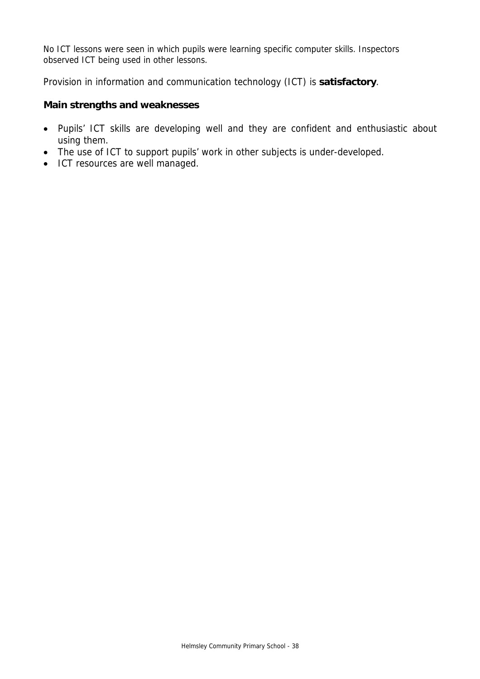No ICT lessons were seen in which pupils were learning specific computer skills. Inspectors observed ICT being used in other lessons.

Provision in information and communication technology (ICT) is **satisfactory**.

#### **Main strengths and weaknesses**

- Pupils' ICT skills are developing well and they are confident and enthusiastic about using them.
- The use of ICT to support pupils' work in other subjects is under-developed.
- ICT resources are well managed.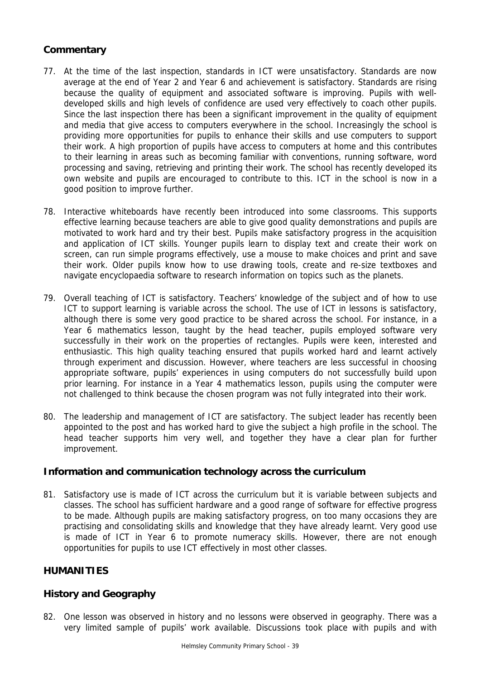- 77. At the time of the last inspection, standards in ICT were unsatisfactory. Standards are now average at the end of Year 2 and Year 6 and achievement is satisfactory. Standards are rising because the quality of equipment and associated software is improving. Pupils with welldeveloped skills and high levels of confidence are used very effectively to coach other pupils. Since the last inspection there has been a significant improvement in the quality of equipment and media that give access to computers everywhere in the school. Increasingly the school is providing more opportunities for pupils to enhance their skills and use computers to support their work. A high proportion of pupils have access to computers at home and this contributes to their learning in areas such as becoming familiar with conventions, running software, word processing and saving, retrieving and printing their work. The school has recently developed its own website and pupils are encouraged to contribute to this. ICT in the school is now in a good position to improve further.
- 78. Interactive whiteboards have recently been introduced into some classrooms. This supports effective learning because teachers are able to give good quality demonstrations and pupils are motivated to work hard and try their best. Pupils make satisfactory progress in the acquisition and application of ICT skills. Younger pupils learn to display text and create their work on screen, can run simple programs effectively, use a mouse to make choices and print and save their work. Older pupils know how to use drawing tools, create and re-size textboxes and navigate encyclopaedia software to research information on topics such as the planets.
- 79. Overall teaching of ICT is satisfactory. Teachers' knowledge of the subject and of how to use ICT to support learning is variable across the school. The use of ICT in lessons is satisfactory, although there is some very good practice to be shared across the school. For instance, in a Year 6 mathematics lesson, taught by the head teacher, pupils employed software very successfully in their work on the properties of rectangles. Pupils were keen, interested and enthusiastic. This high quality teaching ensured that pupils worked hard and learnt actively through experiment and discussion. However, where teachers are less successful in choosing appropriate software, pupils' experiences in using computers do not successfully build upon prior learning. For instance in a Year 4 mathematics lesson, pupils using the computer were not challenged to think because the chosen program was not fully integrated into their work.
- 80. The leadership and management of ICT are satisfactory. The subject leader has recently been appointed to the post and has worked hard to give the subject a high profile in the school. The head teacher supports him very well, and together they have a clear plan for further improvement.

## **Information and communication technology across the curriculum**

81. Satisfactory use is made of ICT across the curriculum but it is variable between subjects and classes. The school has sufficient hardware and a good range of software for effective progress to be made. Although pupils are making satisfactory progress, on too many occasions they are practising and consolidating skills and knowledge that they have already learnt. Very good use is made of ICT in Year 6 to promote numeracy skills. However, there are not enough opportunities for pupils to use ICT effectively in most other classes.

## **HUMANITIES**

## **History and Geography**

82. One lesson was observed in history and no lessons were observed in geography. There was a very limited sample of pupils' work available. Discussions took place with pupils and with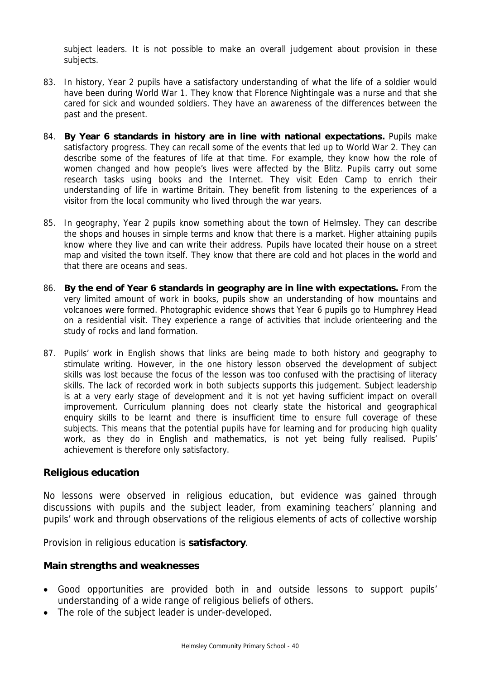subject leaders. It is not possible to make an overall judgement about provision in these subjects.

- 83. In history, Year 2 pupils have a satisfactory understanding of what the life of a soldier would have been during World War 1. They know that Florence Nightingale was a nurse and that she cared for sick and wounded soldiers. They have an awareness of the differences between the past and the present.
- 84. **By Year 6 standards in history are in line with national expectations.** Pupils make satisfactory progress. They can recall some of the events that led up to World War 2. They can describe some of the features of life at that time. For example, they know how the role of women changed and how people's lives were affected by the Blitz. Pupils carry out some research tasks using books and the Internet. They visit Eden Camp to enrich their understanding of life in wartime Britain. They benefit from listening to the experiences of a visitor from the local community who lived through the war years.
- 85. In geography, Year 2 pupils know something about the town of Helmsley. They can describe the shops and houses in simple terms and know that there is a market. Higher attaining pupils know where they live and can write their address. Pupils have located their house on a street map and visited the town itself. They know that there are cold and hot places in the world and that there are oceans and seas.
- 86. **By the end of Year 6 standards in geography are in line with expectations.** From the very limited amount of work in books, pupils show an understanding of how mountains and volcanoes were formed. Photographic evidence shows that Year 6 pupils go to Humphrey Head on a residential visit. They experience a range of activities that include orienteering and the study of rocks and land formation.
- 87. Pupils' work in English shows that links are being made to both history and geography to stimulate writing. However, in the one history lesson observed the development of subject skills was lost because the focus of the lesson was too confused with the practising of literacy skills. The lack of recorded work in both subjects supports this judgement. Subject leadership is at a very early stage of development and it is not yet having sufficient impact on overall improvement. Curriculum planning does not clearly state the historical and geographical enquiry skills to be learnt and there is insufficient time to ensure full coverage of these subjects. This means that the potential pupils have for learning and for producing high quality work, as they do in English and mathematics, is not yet being fully realised. Pupils' achievement is therefore only satisfactory.

#### **Religious education**

No lessons were observed in religious education, but evidence was gained through discussions with pupils and the subject leader, from examining teachers' planning and pupils' work and through observations of the religious elements of acts of collective worship

Provision in religious education is **satisfactory**.

## **Main strengths and weaknesses**

- Good opportunities are provided both in and outside lessons to support pupils' understanding of a wide range of religious beliefs of others.
- The role of the subject leader is under-developed.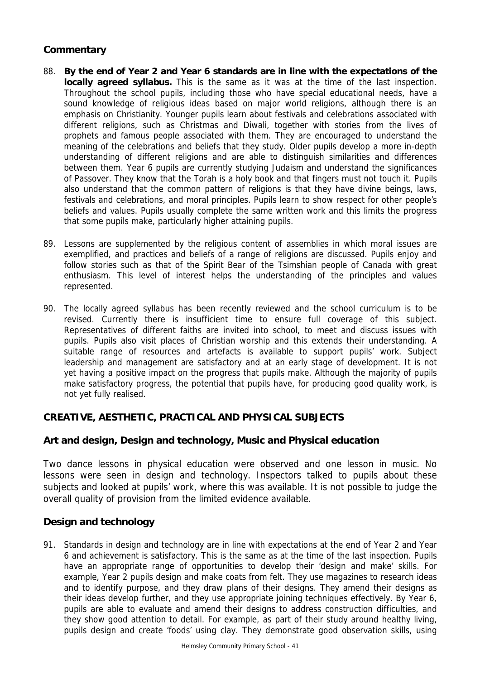- 88. **By the end of Year 2 and Year 6 standards are in line with the expectations of the locally agreed syllabus.** This is the same as it was at the time of the last inspection. Throughout the school pupils, including those who have special educational needs, have a sound knowledge of religious ideas based on major world religions, although there is an emphasis on Christianity. Younger pupils learn about festivals and celebrations associated with different religions, such as Christmas and Diwali, together with stories from the lives of prophets and famous people associated with them. They are encouraged to understand the meaning of the celebrations and beliefs that they study. Older pupils develop a more in-depth understanding of different religions and are able to distinguish similarities and differences between them. Year 6 pupils are currently studying Judaism and understand the significances of Passover. They know that the Torah is a holy book and that fingers must not touch it. Pupils also understand that the common pattern of religions is that they have divine beings, laws, festivals and celebrations, and moral principles. Pupils learn to show respect for other people's beliefs and values. Pupils usually complete the same written work and this limits the progress that some pupils make, particularly higher attaining pupils.
- 89. Lessons are supplemented by the religious content of assemblies in which moral issues are exemplified, and practices and beliefs of a range of religions are discussed. Pupils enjoy and follow stories such as that of the Spirit Bear of the Tsimshian people of Canada with great enthusiasm. This level of interest helps the understanding of the principles and values represented.
- 90. The locally agreed syllabus has been recently reviewed and the school curriculum is to be revised. Currently there is insufficient time to ensure full coverage of this subject. Representatives of different faiths are invited into school, to meet and discuss issues with pupils. Pupils also visit places of Christian worship and this extends their understanding. A suitable range of resources and artefacts is available to support pupils' work. Subject leadership and management are satisfactory and at an early stage of development. It is not yet having a positive impact on the progress that pupils make. Although the majority of pupils make satisfactory progress, the potential that pupils have, for producing good quality work, is not yet fully realised.

## **CREATIVE, AESTHETIC, PRACTICAL AND PHYSICAL SUBJECTS**

## **Art and design, Design and technology, Music and Physical education**

Two dance lessons in physical education were observed and one lesson in music. No lessons were seen in design and technology. Inspectors talked to pupils about these subjects and looked at pupils' work, where this was available. It is not possible to judge the overall quality of provision from the limited evidence available.

## **Design and technology**

91. Standards in design and technology are in line with expectations at the end of Year 2 and Year 6 and achievement is satisfactory. This is the same as at the time of the last inspection. Pupils have an appropriate range of opportunities to develop their 'design and make' skills. For example, Year 2 pupils design and make coats from felt. They use magazines to research ideas and to identify purpose, and they draw plans of their designs. They amend their designs as their ideas develop further, and they use appropriate joining techniques effectively. By Year 6, pupils are able to evaluate and amend their designs to address construction difficulties, and they show good attention to detail. For example, as part of their study around healthy living, pupils design and create 'foods' using clay. They demonstrate good observation skills, using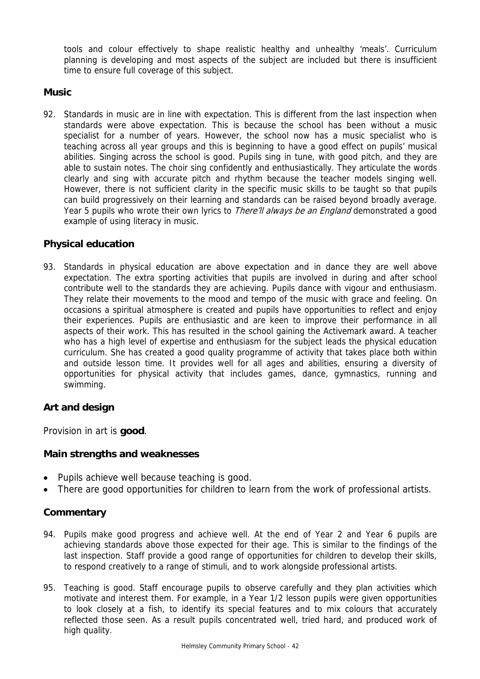tools and colour effectively to shape realistic healthy and unhealthy 'meals'. Curriculum planning is developing and most aspects of the subject are included but there is insufficient time to ensure full coverage of this subject.

## **Music**

92. Standards in music are in line with expectation. This is different from the last inspection when standards were above expectation. This is because the school has been without a music specialist for a number of years. However, the school now has a music specialist who is teaching across all year groups and this is beginning to have a good effect on pupils' musical abilities. Singing across the school is good. Pupils sing in tune, with good pitch, and they are able to sustain notes. The choir sing confidently and enthusiastically. They articulate the words clearly and sing with accurate pitch and rhythm because the teacher models singing well. However, there is not sufficient clarity in the specific music skills to be taught so that pupils can build progressively on their learning and standards can be raised beyond broadly average. Year 5 pupils who wrote their own lyrics to *There'll always be an England* demonstrated a good example of using literacy in music.

## **Physical education**

93. Standards in physical education are above expectation and in dance they are well above expectation. The extra sporting activities that pupils are involved in during and after school contribute well to the standards they are achieving. Pupils dance with vigour and enthusiasm. They relate their movements to the mood and tempo of the music with grace and feeling. On occasions a spiritual atmosphere is created and pupils have opportunities to reflect and enjoy their experiences. Pupils are enthusiastic and are keen to improve their performance in all aspects of their work. This has resulted in the school gaining the Activemark award. A teacher who has a high level of expertise and enthusiasm for the subject leads the physical education curriculum. She has created a good quality programme of activity that takes place both within and outside lesson time. It provides well for all ages and abilities, ensuring a diversity of opportunities for physical activity that includes games, dance, gymnastics, running and swimming.

## **Art and design**

Provision in art is **good**.

## **Main strengths and weaknesses**

- Pupils achieve well because teaching is good.
- There are good opportunities for children to learn from the work of professional artists.

## **Commentary**

- 94. Pupils make good progress and achieve well. At the end of Year 2 and Year 6 pupils are achieving standards above those expected for their age. This is similar to the findings of the last inspection. Staff provide a good range of opportunities for children to develop their skills, to respond creatively to a range of stimuli, and to work alongside professional artists.
- 95. Teaching is good. Staff encourage pupils to observe carefully and they plan activities which motivate and interest them. For example, in a Year 1/2 lesson pupils were given opportunities to look closely at a fish, to identify its special features and to mix colours that accurately reflected those seen. As a result pupils concentrated well, tried hard, and produced work of high quality.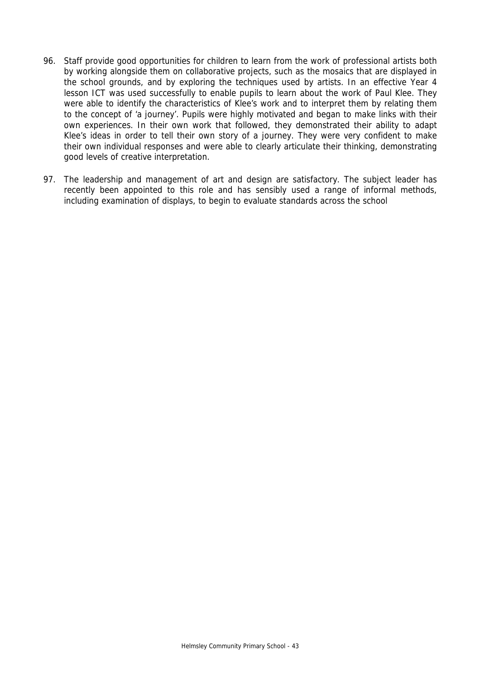- 96. Staff provide good opportunities for children to learn from the work of professional artists both by working alongside them on collaborative projects, such as the mosaics that are displayed in the school grounds, and by exploring the techniques used by artists. In an effective Year 4 lesson ICT was used successfully to enable pupils to learn about the work of Paul Klee. They were able to identify the characteristics of Klee's work and to interpret them by relating them to the concept of 'a journey'. Pupils were highly motivated and began to make links with their own experiences. In their own work that followed, they demonstrated their ability to adapt Klee's ideas in order to tell their own story of a journey. They were very confident to make their own individual responses and were able to clearly articulate their thinking, demonstrating good levels of creative interpretation.
- 97. The leadership and management of art and design are satisfactory. The subject leader has recently been appointed to this role and has sensibly used a range of informal methods, including examination of displays, to begin to evaluate standards across the school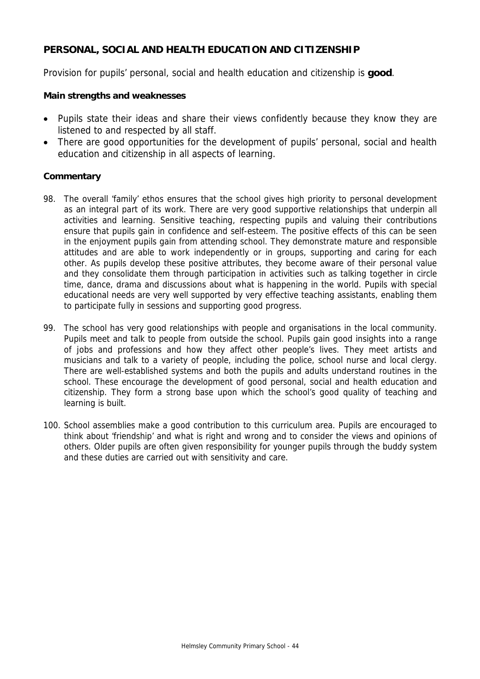## **PERSONAL, SOCIAL AND HEALTH EDUCATION AND CITIZENSHIP**

Provision for pupils' personal, social and health education and citizenship is **good**.

#### **Main strengths and weaknesses**

- Pupils state their ideas and share their views confidently because they know they are listened to and respected by all staff.
- There are good opportunities for the development of pupils' personal, social and health education and citizenship in all aspects of learning.

#### **Commentary**

- 98. The overall 'family' ethos ensures that the school gives high priority to personal development as an integral part of its work. There are very good supportive relationships that underpin all activities and learning. Sensitive teaching, respecting pupils and valuing their contributions ensure that pupils gain in confidence and self-esteem. The positive effects of this can be seen in the enjoyment pupils gain from attending school. They demonstrate mature and responsible attitudes and are able to work independently or in groups, supporting and caring for each other. As pupils develop these positive attributes, they become aware of their personal value and they consolidate them through participation in activities such as talking together in circle time, dance, drama and discussions about what is happening in the world. Pupils with special educational needs are very well supported by very effective teaching assistants, enabling them to participate fully in sessions and supporting good progress.
- 99. The school has very good relationships with people and organisations in the local community. Pupils meet and talk to people from outside the school. Pupils gain good insights into a range of jobs and professions and how they affect other people's lives. They meet artists and musicians and talk to a variety of people, including the police, school nurse and local clergy. There are well-established systems and both the pupils and adults understand routines in the school. These encourage the development of good personal, social and health education and citizenship. They form a strong base upon which the school's good quality of teaching and learning is built.
- 100. School assemblies make a good contribution to this curriculum area. Pupils are encouraged to think about 'friendship' and what is right and wrong and to consider the views and opinions of others. Older pupils are often given responsibility for younger pupils through the buddy system and these duties are carried out with sensitivity and care.